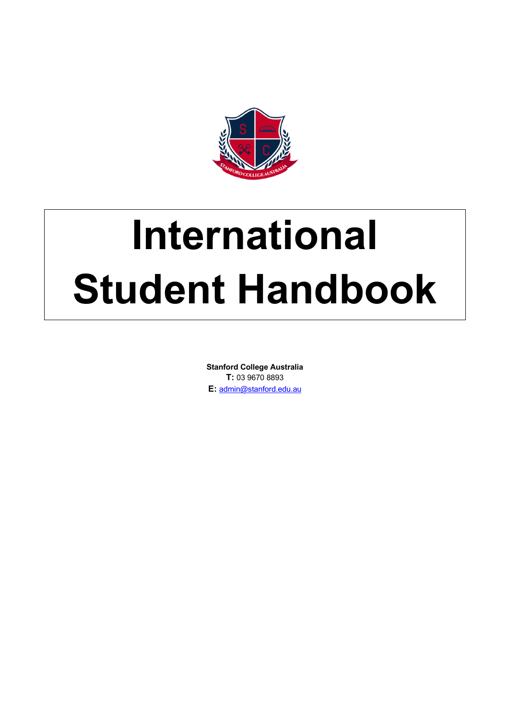

# **International Student Handbook**

**Stanford College Australia T:** 03 9670 8893 **E:** admin@stanford.edu.au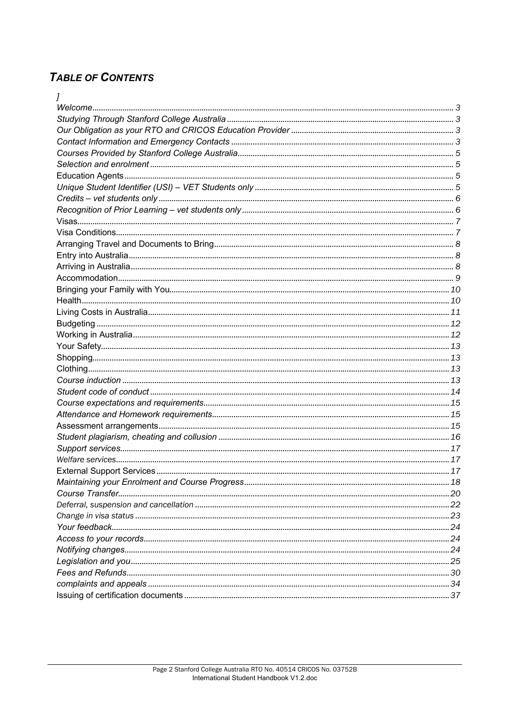# **TABLE OF CONTENTS**

| <b>External Support Services</b> | 17 |
|----------------------------------|----|
|                                  |    |
|                                  |    |
|                                  |    |
|                                  |    |
|                                  |    |
|                                  |    |
|                                  |    |
|                                  |    |
|                                  |    |
|                                  |    |
|                                  |    |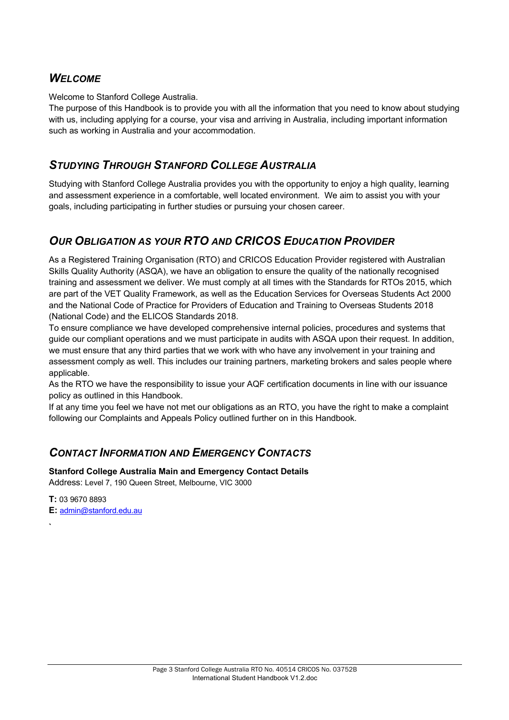# *WELCOME*

Welcome to Stanford College Australia.

The purpose of this Handbook is to provide you with all the information that you need to know about studying with us, including applying for a course, your visa and arriving in Australia, including important information such as working in Australia and your accommodation.

# *STUDYING THROUGH STANFORD COLLEGE AUSTRALIA*

Studying with Stanford College Australia provides you with the opportunity to enjoy a high quality, learning and assessment experience in a comfortable, well located environment. We aim to assist you with your goals, including participating in further studies or pursuing your chosen career.

# *OUR OBLIGATION AS YOUR RTO AND CRICOS EDUCATION PROVIDER*

As a Registered Training Organisation (RTO) and CRICOS Education Provider registered with Australian Skills Quality Authority (ASQA), we have an obligation to ensure the quality of the nationally recognised training and assessment we deliver. We must comply at all times with the Standards for RTOs 2015, which are part of the VET Quality Framework, as well as the Education Services for Overseas Students Act 2000 and the National Code of Practice for Providers of Education and Training to Overseas Students 2018 (National Code) and the ELICOS Standards 2018.

To ensure compliance we have developed comprehensive internal policies, procedures and systems that guide our compliant operations and we must participate in audits with ASQA upon their request. In addition, we must ensure that any third parties that we work with who have any involvement in your training and assessment comply as well. This includes our training partners, marketing brokers and sales people where applicable.

As the RTO we have the responsibility to issue your AQF certification documents in line with our issuance policy as outlined in this Handbook.

If at any time you feel we have not met our obligations as an RTO, you have the right to make a complaint following our Complaints and Appeals Policy outlined further on in this Handbook.

# *CONTACT INFORMATION AND EMERGENCY CONTACTS*

**Stanford College Australia Main and Emergency Contact Details** Address: Level 7, 190 Queen Street, Melbourne, VIC 3000

**T:** 03 9670 8893 **E:** admin@stanford.edu.au

**`**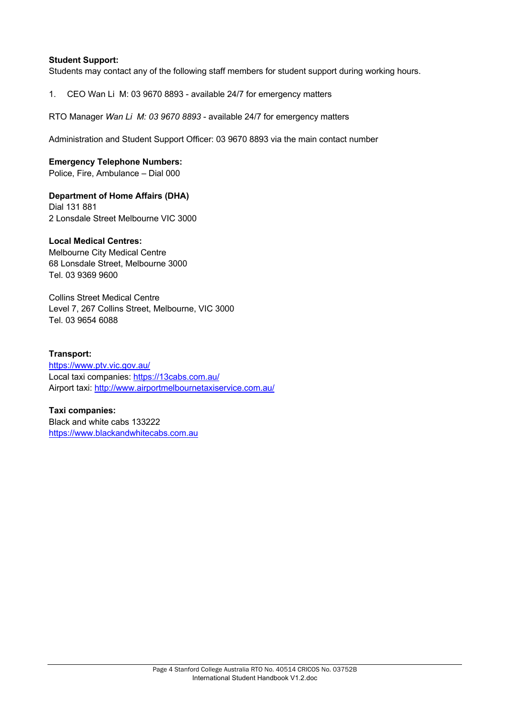### **Student Support:**

Students may contact any of the following staff members for student support during working hours.

1. CEO Wan Li M: 03 9670 8893 - available 24/7 for emergency matters

RTO Manager *Wan Li M: 03 9670 8893* - available 24/7 for emergency matters

Administration and Student Support Officer: 03 9670 8893 via the main contact number

### **Emergency Telephone Numbers:**

Police, Fire, Ambulance – Dial 000

### **Department of Home Affairs (DHA)**

Dial 131 881 2 Lonsdale Street Melbourne VIC 3000

### **Local Medical Centres:**

Melbourne City Medical Centre 68 Lonsdale Street, Melbourne 3000 Tel. 03 9369 9600

Collins Street Medical Centre Level 7, 267 Collins Street, Melbourne, VIC 3000 Tel. 03 9654 6088

### **Transport:**

https://www.ptv.vic.gov.au/ Local taxi companies: https://13cabs.com.au/ Airport taxi: http://www.airportmelbournetaxiservice.com.au/

### **Taxi companies:**

Black and white cabs 133222 https://www.blackandwhitecabs.com.au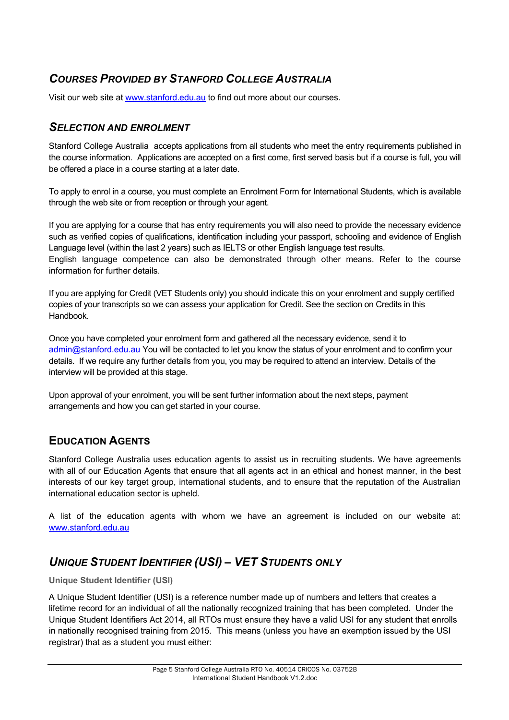# *COURSES PROVIDED BY STANFORD COLLEGE AUSTRALIA*

Visit our web site at www.stanford.edu.au to find out more about our courses.

### *SELECTION AND ENROLMENT*

Stanford College Australia accepts applications from all students who meet the entry requirements published in the course information. Applications are accepted on a first come, first served basis but if a course is full, you will be offered a place in a course starting at a later date.

To apply to enrol in a course, you must complete an Enrolment Form for International Students, which is available through the web site or from reception or through your agent.

If you are applying for a course that has entry requirements you will also need to provide the necessary evidence such as verified copies of qualifications, identification including your passport, schooling and evidence of English Language level (within the last 2 years) such as IELTS or other English language test results. English language competence can also be demonstrated through other means. Refer to the course

If you are applying for Credit (VET Students only) you should indicate this on your enrolment and supply certified copies of your transcripts so we can assess your application for Credit. See the section on Credits in this

Once you have completed your enrolment form and gathered all the necessary evidence, send it to admin@stanford.edu.au You will be contacted to let you know the status of your enrolment and to confirm your details. If we require any further details from you, you may be required to attend an interview. Details of the interview will be provided at this stage.

Upon approval of your enrolment, you will be sent further information about the next steps, payment arrangements and how you can get started in your course.

# **EDUCATION AGENTS**

information for further details.

Handbook.

Stanford College Australia uses education agents to assist us in recruiting students. We have agreements with all of our Education Agents that ensure that all agents act in an ethical and honest manner, in the best interests of our key target group, international students, and to ensure that the reputation of the Australian international education sector is upheld.

A list of the education agents with whom we have an agreement is included on our website at: www.stanford.edu.au

# *UNIQUE STUDENT IDENTIFIER (USI) – VET STUDENTS ONLY*

**Unique Student Identifier (USI)**

A Unique Student Identifier (USI) is a reference number made up of numbers and letters that creates a lifetime record for an individual of all the nationally recognized training that has been completed. Under the Unique Student Identifiers Act 2014, all RTOs must ensure they have a valid USI for any student that enrolls in nationally recognised training from 2015. This means (unless you have an exemption issued by the USI registrar) that as a student you must either: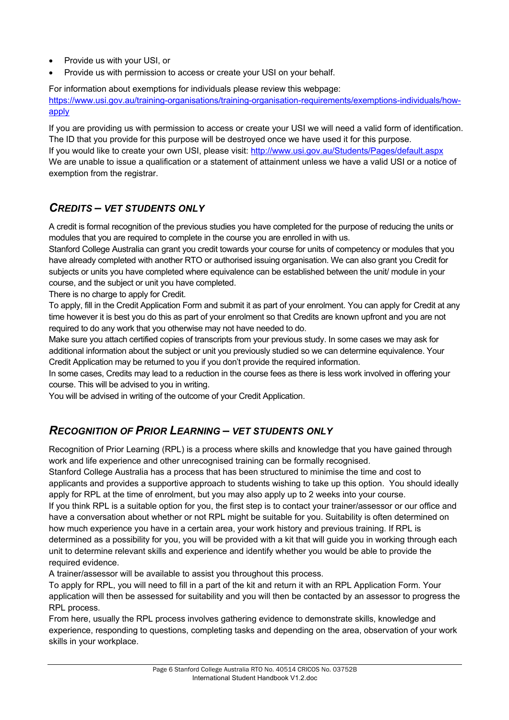- Provide us with your USI, or
- Provide us with permission to access or create your USI on your behalf.

For information about exemptions for individuals please review this webpage: https://www.usi.gov.au/training-organisations/training-organisation-requirements/exemptions-individuals/howapply

If you are providing us with permission to access or create your USI we will need a valid form of identification. The ID that you provide for this purpose will be destroyed once we have used it for this purpose. If you would like to create your own USI, please visit: http://www.usi.gov.au/Students/Pages/default.aspx We are unable to issue a qualification or a statement of attainment unless we have a valid USI or a notice of exemption from the registrar.

# *CREDITS – VET STUDENTS ONLY*

A credit is formal recognition of the previous studies you have completed for the purpose of reducing the units or modules that you are required to complete in the course you are enrolled in with us.

Stanford College Australia can grant you credit towards your course for units of competency or modules that you have already completed with another RTO or authorised issuing organisation. We can also grant you Credit for subjects or units you have completed where equivalence can be established between the unit/ module in your course, and the subject or unit you have completed.

There is no charge to apply for Credit.

To apply, fill in the Credit Application Form and submit it as part of your enrolment. You can apply for Credit at any time however it is best you do this as part of your enrolment so that Credits are known upfront and you are not required to do any work that you otherwise may not have needed to do.

Make sure you attach certified copies of transcripts from your previous study. In some cases we may ask for additional information about the subject or unit you previously studied so we can determine equivalence. Your Credit Application may be returned to you if you don't provide the required information.

In some cases, Credits may lead to a reduction in the course fees as there is less work involved in offering your course. This will be advised to you in writing.

You will be advised in writing of the outcome of your Credit Application.

# *RECOGNITION OF PRIOR LEARNING – VET STUDENTS ONLY*

Recognition of Prior Learning (RPL) is a process where skills and knowledge that you have gained through work and life experience and other unrecognised training can be formally recognised.

Stanford College Australia has a process that has been structured to minimise the time and cost to applicants and provides a supportive approach to students wishing to take up this option. You should ideally apply for RPL at the time of enrolment, but you may also apply up to 2 weeks into your course.

If you think RPL is a suitable option for you, the first step is to contact your trainer/assessor or our office and have a conversation about whether or not RPL might be suitable for you. Suitability is often determined on how much experience you have in a certain area, your work history and previous training. If RPL is determined as a possibility for you, you will be provided with a kit that will guide you in working through each unit to determine relevant skills and experience and identify whether you would be able to provide the required evidence.

A trainer/assessor will be available to assist you throughout this process.

To apply for RPL, you will need to fill in a part of the kit and return it with an RPL Application Form. Your application will then be assessed for suitability and you will then be contacted by an assessor to progress the RPL process.

From here, usually the RPL process involves gathering evidence to demonstrate skills, knowledge and experience, responding to questions, completing tasks and depending on the area, observation of your work skills in your workplace.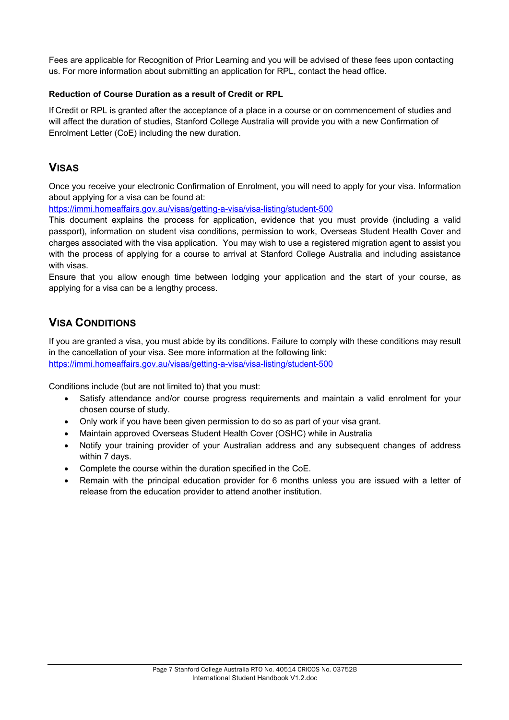Fees are applicable for Recognition of Prior Learning and you will be advised of these fees upon contacting us. For more information about submitting an application for RPL, conta*c*t the head office.

### **Reduction of Course Duration as a result of Credit or RPL**

If Credit or RPL is granted after the acceptance of a place in a course or on commencement of studies and will affect the duration of studies, Stanford College Australia will provide you with a new Confirmation of Enrolment Letter (CoE) including the new duration.

# **VISAS**

Once you receive your electronic Confirmation of Enrolment, you will need to apply for your visa. Information about applying for a visa can be found at:

https://immi.homeaffairs.gov.au/visas/getting-a-visa/visa-listing/student-500

This document explains the process for application, evidence that you must provide (including a valid passport), information on student visa conditions, permission to work, Overseas Student Health Cover and charges associated with the visa application. You may wish to use a registered migration agent to assist you with the process of applying for a course to arrival at Stanford College Australia and including assistance with visas.

Ensure that you allow enough time between lodging your application and the start of your course, as applying for a visa can be a lengthy process.

# **VISA CONDITIONS**

If you are granted a visa, you must abide by its conditions. Failure to comply with these conditions may result in the cancellation of your visa. See more information at the following link: https://immi.homeaffairs.gov.au/visas/getting-a-visa/visa-listing/student-500

Conditions include (but are not limited to) that you must:

- Satisfy attendance and/or course progress requirements and maintain a valid enrolment for your chosen course of study.
- Only work if you have been given permission to do so as part of your visa grant.
- Maintain approved Overseas Student Health Cover (OSHC) while in Australia
- Notify your training provider of your Australian address and any subsequent changes of address within 7 days.
- Complete the course within the duration specified in the CoE.
- Remain with the principal education provider for 6 months unless you are issued with a letter of release from the education provider to attend another institution.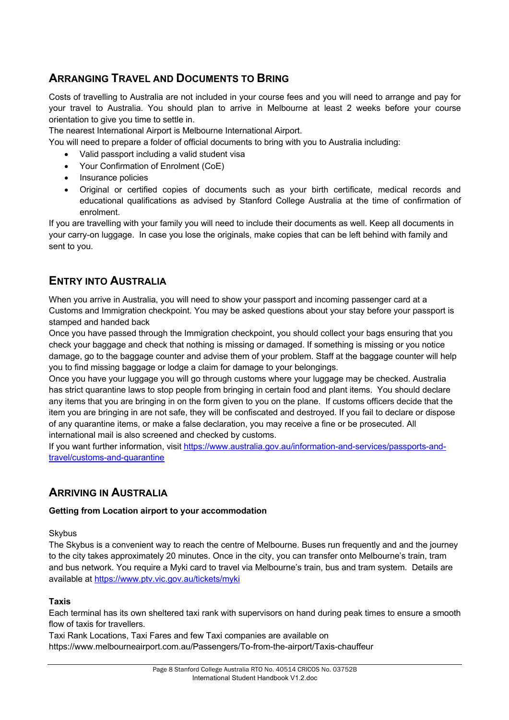# **ARRANGING TRAVEL AND DOCUMENTS TO BRING**

Costs of travelling to Australia are not included in your course fees and you will need to arrange and pay for your travel to Australia. You should plan to arrive in Melbourne at least 2 weeks before your course orientation to give you time to settle in.

The nearest International Airport is Melbourne International Airport.

You will need to prepare a folder of official documents to bring with you to Australia including:

- Valid passport including a valid student visa
- Your Confirmation of Enrolment (CoE)
- Insurance policies
- Original or certified copies of documents such as your birth certificate, medical records and educational qualifications as advised by Stanford College Australia at the time of confirmation of enrolment.

If you are travelling with your family you will need to include their documents as well. Keep all documents in your carry-on luggage. In case you lose the originals, make copies that can be left behind with family and sent to you.

# **ENTRY INTO AUSTRALIA**

When you arrive in Australia, you will need to show your passport and incoming passenger card at a Customs and Immigration checkpoint. You may be asked questions about your stay before your passport is stamped and handed back

Once you have passed through the Immigration checkpoint, you should collect your bags ensuring that you check your baggage and check that nothing is missing or damaged. If something is missing or you notice damage, go to the baggage counter and advise them of your problem. Staff at the baggage counter will help you to find missing baggage or lodge a claim for damage to your belongings.

Once you have your luggage you will go through customs where your luggage may be checked. Australia has strict quarantine laws to stop people from bringing in certain food and plant items. You should declare any items that you are bringing in on the form given to you on the plane. If customs officers decide that the item you are bringing in are not safe, they will be confiscated and destroyed. If you fail to declare or dispose of any quarantine items, or make a false declaration, you may receive a fine or be prosecuted. All international mail is also screened and checked by customs.

If you want further information, visit https://www.australia.gov.au/information-and-services/passports-andtravel/customs-and-quarantine

# **ARRIVING IN AUSTRALIA**

### **Getting from Location airport to your accommodation**

**Skybus** 

The Skybus is a convenient way to reach the centre of Melbourne. Buses run frequently and and the journey to the city takes approximately 20 minutes. Once in the city, you can transfer onto Melbourne's train, tram and bus network. You require a Myki card to travel via Melbourne's train, bus and tram system. Details are available at https://www.ptv.vic.gov.au/tickets/myki

### **Taxis**

Each terminal has its own sheltered taxi rank with supervisors on hand during peak times to ensure a smooth flow of taxis for travellers.

Taxi Rank Locations, Taxi Fares and few Taxi companies are available on https://www.melbourneairport.com.au/Passengers/To-from-the-airport/Taxis-chauffeur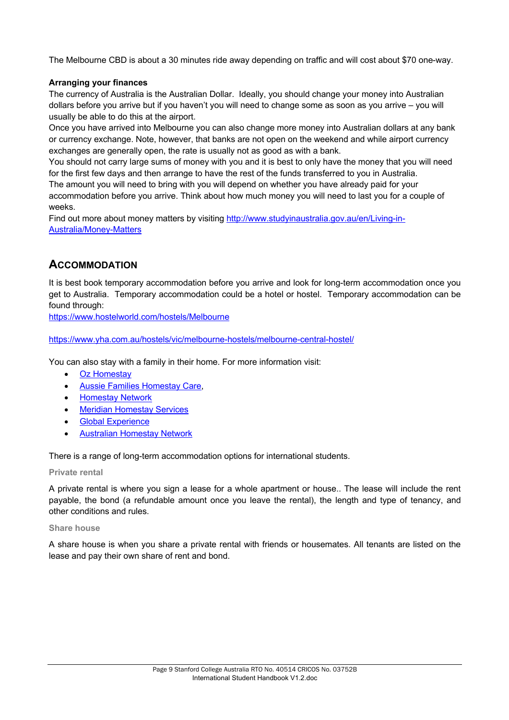The Melbourne CBD is about a 30 minutes ride away depending on traffic and will cost about \$70 one-way.

### **Arranging your finances**

The currency of Australia is the Australian Dollar. Ideally, you should change your money into Australian dollars before you arrive but if you haven't you will need to change some as soon as you arrive – you will usually be able to do this at the airport.

Once you have arrived into Melbourne you can also change more money into Australian dollars at any bank or currency exchange. Note, however, that banks are not open on the weekend and while airport currency exchanges are generally open, the rate is usually not as good as with a bank.

You should not carry large sums of money with you and it is best to only have the money that you will need for the first few days and then arrange to have the rest of the funds transferred to you in Australia.

The amount you will need to bring with you will depend on whether you have already paid for your accommodation before you arrive. Think about how much money you will need to last you for a couple of weeks.

Find out more about money matters by visiting http://www.studyinaustralia.gov.au/en/Living-in-Australia/Money-Matters

# **ACCOMMODATION**

It is best book temporary accommodation before you arrive and look for long-term accommodation once you get to Australia. Temporary accommodation could be a hotel or hostel. Temporary accommodation can be found through:

https://www.hostelworld.com/hostels/Melbourne

https://www.yha.com.au/hostels/vic/melbourne-hostels/melbourne-central-hostel/

You can also stay with a family in their home. For more information visit:

- **Oz Homestav**
- Aussie Families Homestay Care,
- Homestay Network
- Meridian Homestay Services
- **Global Experience**
- Australian Homestay Network

There is a range of long-term accommodation options for international students.

### **Private rental**

A private rental is where you sign a lease for a whole apartment or house.. The lease will include the rent payable, the bond (a refundable amount once you leave the rental), the length and type of tenancy, and other conditions and rules.

#### **Share house**

A share house is when you share a private rental with friends or housemates. All tenants are listed on the lease and pay their own share of rent and bond.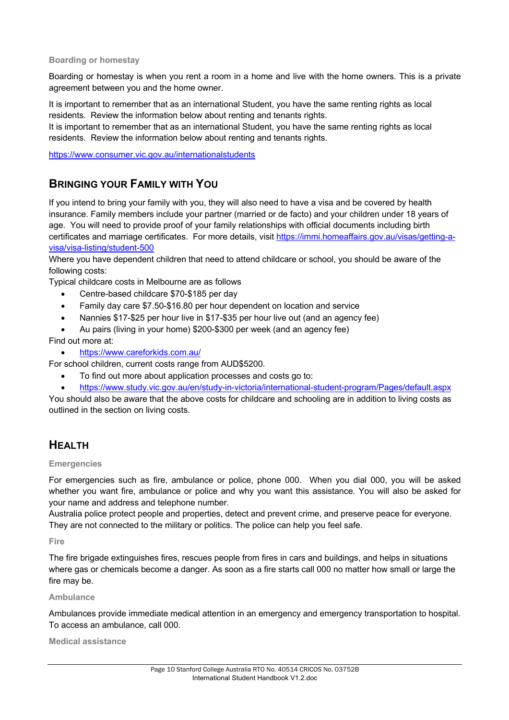### **Boarding or homestay**

Boarding or homestay is when you rent a room in a home and live with the home owners. This is a private agreement between you and the home owner.

It is important to remember that as an international Student, you have the same renting rights as local residents. Review the information below about renting and tenants rights.

It is important to remember that as an international Student, you have the same renting rights as local residents. Review the information below about renting and tenants rights.

https://www.consumer.vic.gov.au/internationalstudents

# **BRINGING YOUR FAMILY WITH YOU**

If you intend to bring your family with you, they will also need to have a visa and be covered by health insurance. Family members include your partner (married or de facto) and your children under 18 years of age. You will need to provide proof of your family relationships with official documents including birth certificates and marriage certificates. For more details, visit https://immi.homeaffairs.gov.au/visas/getting-avisa/visa-listing/student-500

Where you have dependent children that need to attend childcare or school, you should be aware of the following costs:

Typical childcare costs in Melbourne are as follows

- Centre-based childcare \$70-\$185 per day
- Family day care \$7.50-\$16.80 per hour dependent on location and service
- Nannies \$17-\$25 per hour live in \$17-\$35 per hour live out (and an agency fee)
- Au pairs (living in your home) \$200-\$300 per week (and an agency fee)

Find out more at:

• https://www.careforkids.com.au/

For school children, current costs range from AUD\$5200.

- To find out more about application processes and costs go to:
- https://www.study.vic.gov.au/en/study-in-victoria/international-student-program/Pages/default.aspx

You should also be aware that the above costs for childcare and schooling are in addition to living costs as outlined in the section on living costs.

# **HEALTH**

### **Emergencies**

For emergencies such as fire, ambulance or police, phone 000. When you dial 000, you will be asked whether you want fire, ambulance or police and why you want this assistance. You will also be asked for your name and address and telephone number.

Australia police protect people and properties, detect and prevent crime, and preserve peace for everyone. They are not connected to the military or politics. The police can help you feel safe.

**Fire** 

The fire brigade extinguishes fires, rescues people from fires in cars and buildings, and helps in situations where gas or chemicals become a danger. As soon as a fire starts call 000 no matter how small or large the fire may be.

### **Ambulance**

Ambulances provide immediate medical attention in an emergency and emergency transportation to hospital. To access an ambulance, call 000.

**Medical assistance**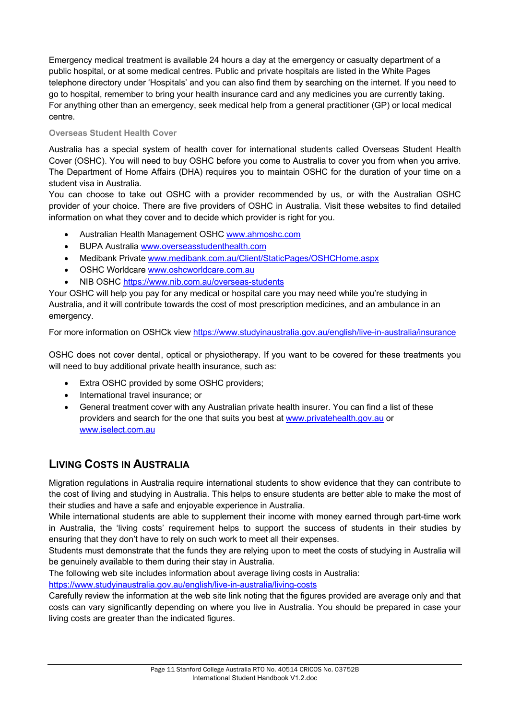Emergency medical treatment is available 24 hours a day at the emergency or casualty department of a public hospital, or at some medical centres. Public and private hospitals are listed in the White Pages telephone directory under 'Hospitals' and you can also find them by searching on the internet. If you need to go to hospital, remember to bring your health insurance card and any medicines you are currently taking. For anything other than an emergency, seek medical help from a general practitioner (GP) or local medical centre.

### **Overseas Student Health Cover**

Australia has a special system of health cover for international students called Overseas Student Health Cover (OSHC). You will need to buy OSHC before you come to Australia to cover you from when you arrive. The Department of Home Affairs (DHA) requires you to maintain OSHC for the duration of your time on a student visa in Australia.

You can choose to take out OSHC with a provider recommended by us, or with the Australian OSHC provider of your choice. There are five providers of OSHC in Australia. Visit these websites to find detailed information on what they cover and to decide which provider is right for you.

- Australian Health Management OSHC www.ahmoshc.com
- BUPA Australia www.overseasstudenthealth.com
- Medibank Private www.medibank.com.au/Client/StaticPages/OSHCHome.aspx
- OSHC Worldcare www.oshcworldcare.com.au
- NIB OSHC https://www.nib.com.au/overseas-students

Your OSHC will help you pay for any medical or hospital care you may need while you're studying in Australia, and it will contribute towards the cost of most prescription medicines, and an ambulance in an emergency.

For more information on OSHCk view https://www.studyinaustralia.gov.au/english/live-in-australia/insurance

OSHC does not cover dental, optical or physiotherapy. If you want to be covered for these treatments you will need to buy additional private health insurance, such as:

- Extra OSHC provided by some OSHC providers;
- International travel insurance; or
- General treatment cover with any Australian private health insurer. You can find a list of these providers and search for the one that suits you best at www.privatehealth.gov.au or www.iselect.com.au

# **LIVING COSTS IN AUSTRALIA**

Migration regulations in Australia require international students to show evidence that they can contribute to the cost of living and studying in Australia. This helps to ensure students are better able to make the most of their studies and have a safe and enjoyable experience in Australia.

While international students are able to supplement their income with money earned through part-time work in Australia, the 'living costs' requirement helps to support the success of students in their studies by ensuring that they don't have to rely on such work to meet all their expenses.

Students must demonstrate that the funds they are relying upon to meet the costs of studying in Australia will be genuinely available to them during their stay in Australia.

The following web site includes information about average living costs in Australia:

https://www.studyinaustralia.gov.au/english/live-in-australia/living-costs

Carefully review the information at the web site link noting that the figures provided are average only and that costs can vary significantly depending on where you live in Australia. You should be prepared in case your living costs are greater than the indicated figures.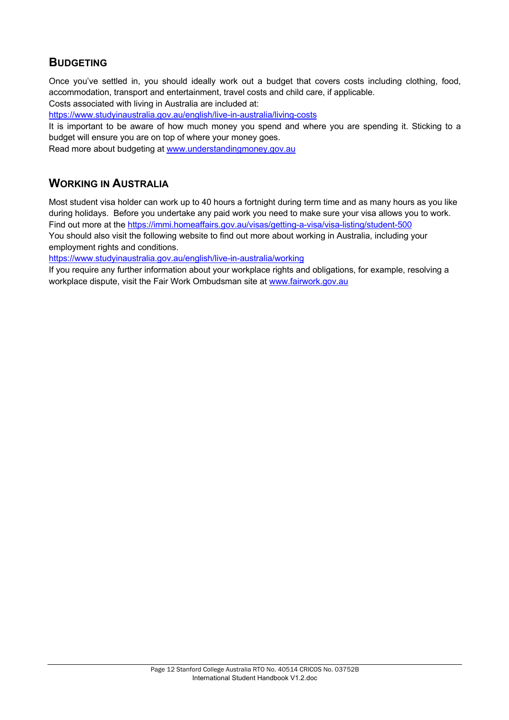# **BUDGETING**

Once you've settled in, you should ideally work out a budget that covers costs including clothing, food, accommodation, transport and entertainment, travel costs and child care, if applicable.

Costs associated with living in Australia are included at:

https://www.studyinaustralia.gov.au/english/live-in-australia/living-costs

It is important to be aware of how much money you spend and where you are spending it. Sticking to a budget will ensure you are on top of where your money goes.

Read more about budgeting at www.understandingmoney.gov.au

# **WORKING IN AUSTRALIA**

Most student visa holder can work up to 40 hours a fortnight during term time and as many hours as you like during holidays. Before you undertake any paid work you need to make sure your visa allows you to work. Find out more at the https://immi.homeaffairs.gov.au/visas/getting-a-visa/visa-listing/student-500

You should also visit the following website to find out more about working in Australia, including your employment rights and conditions.

https://www.studyinaustralia.gov.au/english/live-in-australia/working

If you require any further information about your workplace rights and obligations, for example, resolving a workplace dispute, visit the Fair Work Ombudsman site at www.fairwork.gov.au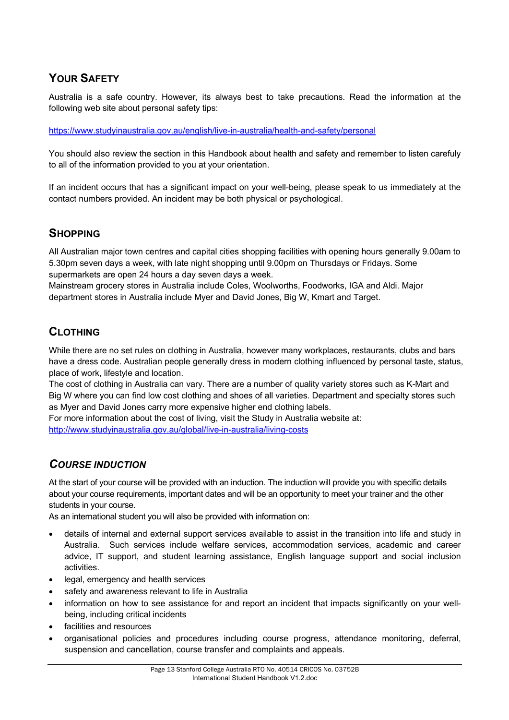# **YOUR SAFETY**

Australia is a safe country. However, its always best to take precautions. Read the information at the following web site about personal safety tips:

https://www.studyinaustralia.gov.au/english/live-in-australia/health-and-safety/personal

You should also review the section in this Handbook about health and safety and remember to listen carefuly to all of the information provided to you at your orientation.

If an incident occurs that has a significant impact on your well-being, please speak to us immediately at the contact numbers provided. An incident may be both physical or psychological.

# **SHOPPING**

All Australian major town centres and capital cities shopping facilities with opening hours generally 9.00am to 5.30pm seven days a week, with late night shopping until 9.00pm on Thursdays or Fridays. Some supermarkets are open 24 hours a day seven days a week.

Mainstream grocery stores in Australia include Coles, Woolworths, Foodworks, IGA and Aldi. Major department stores in Australia include Myer and David Jones, Big W, Kmart and Target.

# **CLOTHING**

While there are no set rules on clothing in Australia, however many workplaces, restaurants, clubs and bars have a dress code. Australian people generally dress in modern clothing influenced by personal taste, status, place of work, lifestyle and location.

The cost of clothing in Australia can vary. There are a number of quality variety stores such as K-Mart and Big W where you can find low cost clothing and shoes of all varieties. Department and specialty stores such as Myer and David Jones carry more expensive higher end clothing labels.

For more information about the cost of living, visit the Study in Australia website at: http://www.studyinaustralia.gov.au/global/live-in-australia/living-costs

# *COURSE INDUCTION*

At the start of your course will be provided with an induction. The induction will provide you with specific details about your course requirements, important dates and will be an opportunity to meet your trainer and the other students in your course.

As an international student you will also be provided with information on:

- details of internal and external support services available to assist in the transition into life and study in Australia. Such services include welfare services, accommodation services, academic and career advice, IT support, and student learning assistance, English language support and social inclusion activities.
- legal, emergency and health services
- safety and awareness relevant to life in Australia
- information on how to see assistance for and report an incident that impacts significantly on your wellbeing, including critical incidents
- facilities and resources
- organisational policies and procedures including course progress, attendance monitoring, deferral, suspension and cancellation, course transfer and complaints and appeals.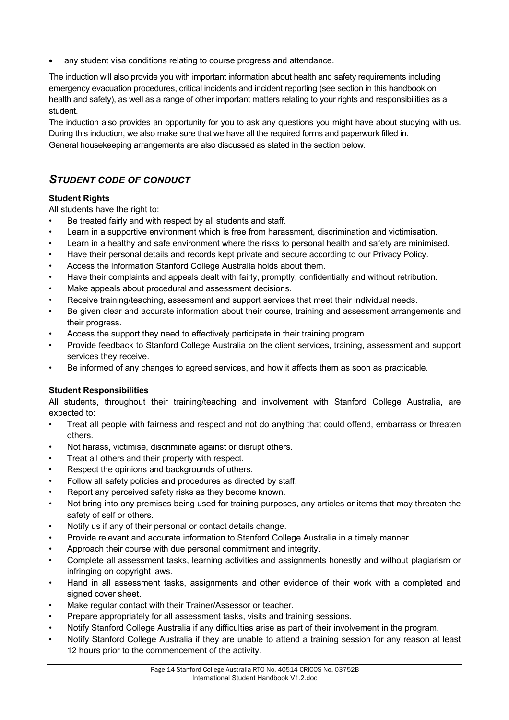• any student visa conditions relating to course progress and attendance.

The induction will also provide you with important information about health and safety requirements including emergency evacuation procedures, critical incidents and incident reporting (see section in this handbook on health and safety), as well as a range of other important matters relating to your rights and responsibilities as a student.

The induction also provides an opportunity for you to ask any questions you might have about studying with us. During this induction, we also make sure that we have all the required forms and paperwork filled in. General housekeeping arrangements are also discussed as stated in the section below.

# *STUDENT CODE OF CONDUCT*

### **Student Rights**

All students have the right to:

- Be treated fairly and with respect by all students and staff.
- Learn in a supportive environment which is free from harassment, discrimination and victimisation.
- Learn in a healthy and safe environment where the risks to personal health and safety are minimised.
- Have their personal details and records kept private and secure according to our Privacy Policy.
- Access the information Stanford College Australia holds about them.
- Have their complaints and appeals dealt with fairly, promptly, confidentially and without retribution.
- Make appeals about procedural and assessment decisions.
- Receive training/teaching, assessment and support services that meet their individual needs.
- Be given clear and accurate information about their course, training and assessment arrangements and their progress.
- Access the support they need to effectively participate in their training program.
- Provide feedback to Stanford College Australia on the client services, training, assessment and support services they receive.
- Be informed of any changes to agreed services, and how it affects them as soon as practicable.

### **Student Responsibilities**

All students, throughout their training/teaching and involvement with Stanford College Australia, are expected to:

- Treat all people with fairness and respect and not do anything that could offend, embarrass or threaten others.
- Not harass, victimise, discriminate against or disrupt others.
- Treat all others and their property with respect.
- Respect the opinions and backgrounds of others.
- Follow all safety policies and procedures as directed by staff.
- Report any perceived safety risks as they become known.
- Not bring into any premises being used for training purposes, any articles or items that may threaten the safety of self or others.
- Notify us if any of their personal or contact details change.
- Provide relevant and accurate information to Stanford College Australia in a timely manner.
- Approach their course with due personal commitment and integrity.
- Complete all assessment tasks, learning activities and assignments honestly and without plagiarism or infringing on copyright laws.
- Hand in all assessment tasks, assignments and other evidence of their work with a completed and signed cover sheet.
- Make regular contact with their Trainer/Assessor or teacher.
- Prepare appropriately for all assessment tasks, visits and training sessions.
- Notify Stanford College Australia if any difficulties arise as part of their involvement in the program.
- Notify Stanford College Australia if they are unable to attend a training session for any reason at least 12 hours prior to the commencement of the activity.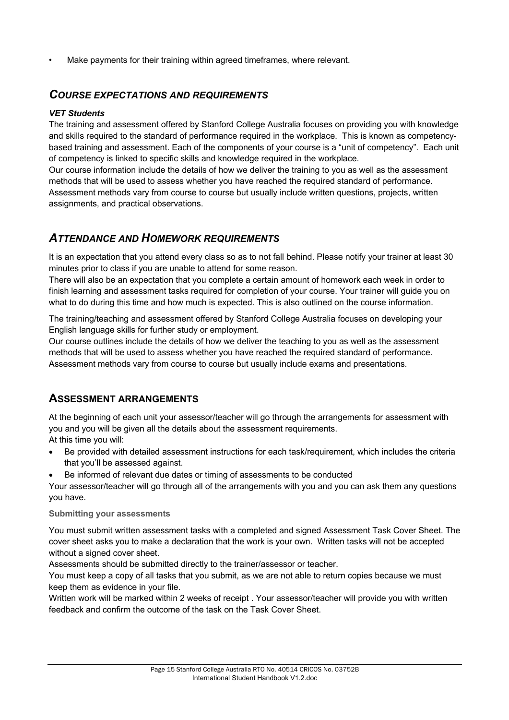Make payments for their training within agreed timeframes, where relevant.

### *COURSE EXPECTATIONS AND REQUIREMENTS*

### *VET Students*

The training and assessment offered by Stanford College Australia focuses on providing you with knowledge and skills required to the standard of performance required in the workplace. This is known as competencybased training and assessment. Each of the components of your course is a "unit of competency". Each unit of competency is linked to specific skills and knowledge required in the workplace.

Our course information include the details of how we deliver the training to you as well as the assessment methods that will be used to assess whether you have reached the required standard of performance. Assessment methods vary from course to course but usually include written questions, projects, written assignments, and practical observations.

# *ATTENDANCE AND HOMEWORK REQUIREMENTS*

It is an expectation that you attend every class so as to not fall behind. Please notify your trainer at least 30 minutes prior to class if you are unable to attend for some reason.

There will also be an expectation that you complete a certain amount of homework each week in order to finish learning and assessment tasks required for completion of your course. Your trainer will guide you on what to do during this time and how much is expected. This is also outlined on the course information.

The training/teaching and assessment offered by Stanford College Australia focuses on developing your English language skills for further study or employment.

Our course outlines include the details of how we deliver the teaching to you as well as the assessment methods that will be used to assess whether you have reached the required standard of performance. Assessment methods vary from course to course but usually include exams and presentations.

# **ASSESSMENT ARRANGEMENTS**

At the beginning of each unit your assessor/teacher will go through the arrangements for assessment with you and you will be given all the details about the assessment requirements.

At this time you will:

- Be provided with detailed assessment instructions for each task/requirement, which includes the criteria that you'll be assessed against.
- Be informed of relevant due dates or timing of assessments to be conducted

Your assessor/teacher will go through all of the arrangements with you and you can ask them any questions you have.

### **Submitting your assessments**

You must submit written assessment tasks with a completed and signed Assessment Task Cover Sheet. The cover sheet asks you to make a declaration that the work is your own. Written tasks will not be accepted without a signed cover sheet.

Assessments should be submitted directly to the trainer/assessor or teacher.

You must keep a copy of all tasks that you submit, as we are not able to return copies because we must keep them as evidence in your file.

Written work will be marked within 2 weeks of receipt . Your assessor/teacher will provide you with written feedback and confirm the outcome of the task on the Task Cover Sheet.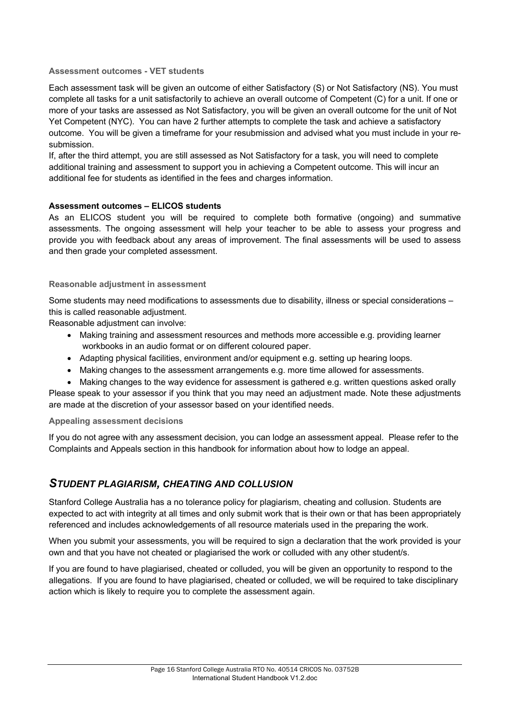### **Assessment outcomes - VET students**

Each assessment task will be given an outcome of either Satisfactory (S) or Not Satisfactory (NS). You must complete all tasks for a unit satisfactorily to achieve an overall outcome of Competent (C) for a unit. If one or more of your tasks are assessed as Not Satisfactory, you will be given an overall outcome for the unit of Not Yet Competent (NYC). You can have 2 further attempts to complete the task and achieve a satisfactory outcome. You will be given a timeframe for your resubmission and advised what you must include in your resubmission.

If, after the third attempt, you are still assessed as Not Satisfactory for a task, you will need to complete additional training and assessment to support you in achieving a Competent outcome. This will incur an additional fee for students as identified in the fees and charges information.

### **Assessment outcomes – ELICOS students**

As an ELICOS student you will be required to complete both formative (ongoing) and summative assessments. The ongoing assessment will help your teacher to be able to assess your progress and provide you with feedback about any areas of improvement. The final assessments will be used to assess and then grade your completed assessment.

### **Reasonable adjustment in assessment**

Some students may need modifications to assessments due to disability, illness or special considerations this is called reasonable adjustment.

Reasonable adjustment can involve:

- Making training and assessment resources and methods more accessible e.g. providing learner workbooks in an audio format or on different coloured paper.
- Adapting physical facilities, environment and/or equipment e.g. setting up hearing loops.
- Making changes to the assessment arrangements e.g. more time allowed for assessments.
- Making changes to the way evidence for assessment is gathered e.g. written questions asked orally

Please speak to your assessor if you think that you may need an adjustment made. Note these adjustments are made at the discretion of your assessor based on your identified needs.

#### **Appealing assessment decisions**

If you do not agree with any assessment decision, you can lodge an assessment appeal. Please refer to the Complaints and Appeals section in this handbook for information about how to lodge an appeal.

### *STUDENT PLAGIARISM, CHEATING AND COLLUSION*

Stanford College Australia has a no tolerance policy for plagiarism, cheating and collusion. Students are expected to act with integrity at all times and only submit work that is their own or that has been appropriately referenced and includes acknowledgements of all resource materials used in the preparing the work.

When you submit your assessments, you will be required to sign a declaration that the work provided is your own and that you have not cheated or plagiarised the work or colluded with any other student/s.

If you are found to have plagiarised, cheated or colluded, you will be given an opportunity to respond to the allegations. If you are found to have plagiarised, cheated or colluded, we will be required to take disciplinary action which is likely to require you to complete the assessment again.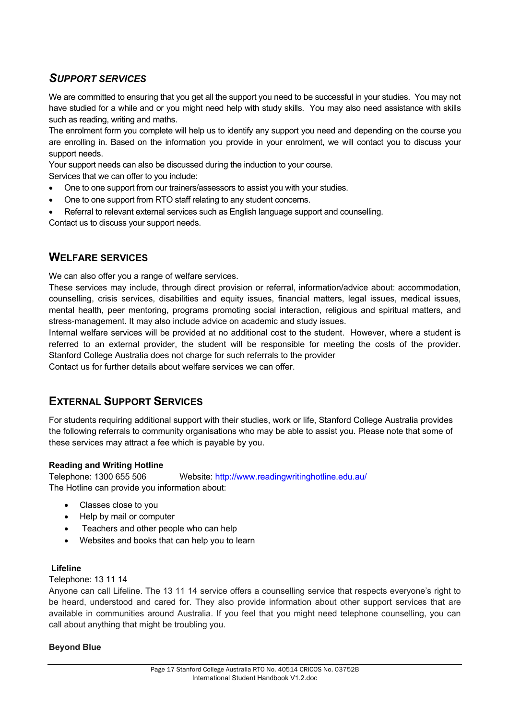# *SUPPORT SERVICES*

We are committed to ensuring that you get all the support you need to be successful in your studies. You may not have studied for a while and or you might need help with study skills. You may also need assistance with skills such as reading, writing and maths.

The enrolment form you complete will help us to identify any support you need and depending on the course you are enrolling in. Based on the information you provide in your enrolment, we will contact you to discuss your support needs.

Your support needs can also be discussed during the induction to your course.

Services that we can offer to you include:

- One to one support from our trainers/assessors to assist you with your studies.
- One to one support from RTO staff relating to any student concerns.
- Referral to relevant external services such as English language support and counselling.

Contact us to discuss your support needs.

### **WELFARE SERVICES**

We can also offer you a range of welfare services.

These services may include, through direct provision or referral, information/advice about: accommodation, counselling, crisis services, disabilities and equity issues, financial matters, legal issues, medical issues, mental health, peer mentoring, programs promoting social interaction, religious and spiritual matters, and stress-management. It may also include advice on academic and study issues.

Internal welfare services will be provided at no additional cost to the student. However, where a student is referred to an external provider, the student will be responsible for meeting the costs of the provider. Stanford College Australia does not charge for such referrals to the provider

Contact us for further details about welfare services we can offer.

# **EXTERNAL SUPPORT SERVICES**

For students requiring additional support with their studies, work or life, Stanford College Australia provides the following referrals to community organisations who may be able to assist you. Please note that some of these services may attract a fee which is payable by you.

### **Reading and Writing Hotline**

Telephone: 1300 655 506 Website: http://www.readingwritinghotline.edu.au/ The Hotline can provide you information about:

- Classes close to you
- Help by mail or computer
- Teachers and other people who can help
- Websites and books that can help you to learn

### **Lifeline**

### Telephone: 13 11 14

Anyone can call Lifeline. The 13 11 14 service offers a counselling service that respects everyone's right to be heard, understood and cared for. They also provide information about other support services that are available in communities around Australia. If you feel that you might need telephone counselling, you can call about anything that might be troubling you.

### **Beyond Blue**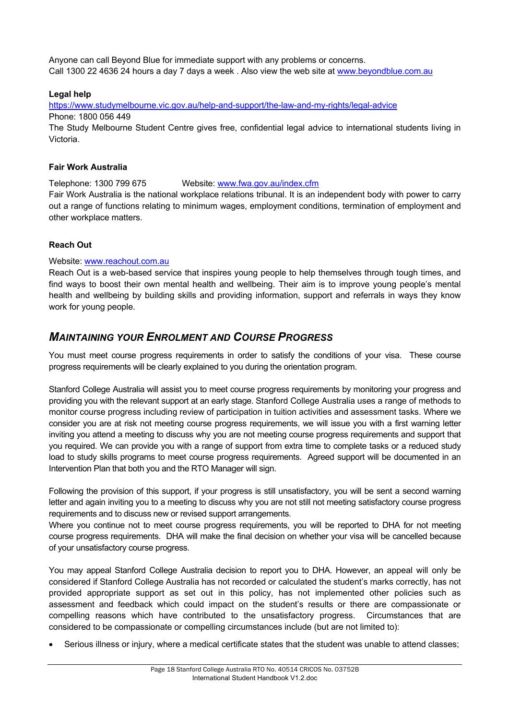Anyone can call Beyond Blue for immediate support with any problems or concerns. Call 1300 22 4636 24 hours a day 7 days a week . Also view the web site at www.beyondblue.com.au

### **Legal help**

https://www.studymelbourne.vic.gov.au/help-and-support/the-law-and-my-rights/legal-advice Phone: 1800 056 449

The Study Melbourne Student Centre gives free, confidential legal advice to international students living in Victoria.

#### **Fair Work Australia**

Telephone: 1300 799 675 Website: www.fwa.gov.au/index.cfm Fair Work Australia is the national workplace relations tribunal. It is an independent body with power to carry out a range of functions relating to minimum wages, employment conditions, termination of employment and other workplace matters.

### **Reach Out**

### Website: www.reachout.com.au

Reach Out is a web-based service that inspires young people to help themselves through tough times, and find ways to boost their own mental health and wellbeing. Their aim is to improve young people's mental health and wellbeing by building skills and providing information, support and referrals in ways they know work for young people.

### *MAINTAINING YOUR ENROLMENT AND COURSE PROGRESS*

You must meet course progress requirements in order to satisfy the conditions of your visa. These course progress requirements will be clearly explained to you during the orientation program.

Stanford College Australia will assist you to meet course progress requirements by monitoring your progress and providing you with the relevant support at an early stage. Stanford College Australia uses a range of methods to monitor course progress including review of participation in tuition activities and assessment tasks. Where we consider you are at risk not meeting course progress requirements, we will issue you with a first warning letter inviting you attend a meeting to discuss why you are not meeting course progress requirements and support that you required. We can provide you with a range of support from extra time to complete tasks or a reduced study load to study skills programs to meet course progress requirements. Agreed support will be documented in an Intervention Plan that both you and the RTO Manager will sign.

Following the provision of this support, if your progress is still unsatisfactory, you will be sent a second warning letter and again inviting you to a meeting to discuss why you are not still not meeting satisfactory course progress requirements and to discuss new or revised support arrangements.

Where you continue not to meet course progress requirements, you will be reported to DHA for not meeting course progress requirements. DHA will make the final decision on whether your visa will be cancelled because of your unsatisfactory course progress.

You may appeal Stanford College Australia decision to report you to DHA. However, an appeal will only be considered if Stanford College Australia has not recorded or calculated the student's marks correctly, has not provided appropriate support as set out in this policy, has not implemented other policies such as assessment and feedback which could impact on the student's results or there are compassionate or compelling reasons which have contributed to the unsatisfactory progress. Circumstances that are considered to be compassionate or compelling circumstances include (but are not limited to):

• Serious illness or injury, where a medical certificate states that the student was unable to attend classes;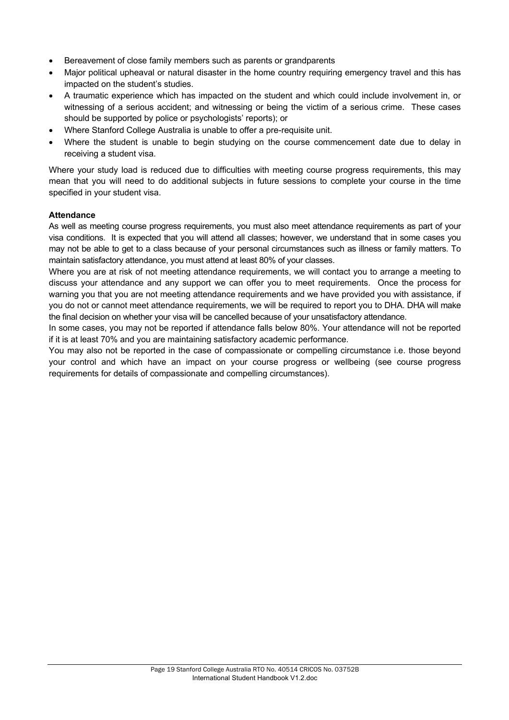- Bereavement of close family members such as parents or grandparents
- Major political upheaval or natural disaster in the home country requiring emergency travel and this has impacted on the student's studies.
- A traumatic experience which has impacted on the student and which could include involvement in, or witnessing of a serious accident; and witnessing or being the victim of a serious crime. These cases should be supported by police or psychologists' reports); or
- Where Stanford College Australia is unable to offer a pre-requisite unit.
- Where the student is unable to begin studying on the course commencement date due to delay in receiving a student visa.

Where your study load is reduced due to difficulties with meeting course progress requirements, this may mean that you will need to do additional subjects in future sessions to complete your course in the time specified in your student visa.

### **Attendance**

As well as meeting course progress requirements, you must also meet attendance requirements as part of your visa conditions. It is expected that you will attend all classes; however, we understand that in some cases you may not be able to get to a class because of your personal circumstances such as illness or family matters. To maintain satisfactory attendance, you must attend at least 80% of your classes.

Where you are at risk of not meeting attendance requirements, we will contact you to arrange a meeting to discuss your attendance and any support we can offer you to meet requirements. Once the process for warning you that you are not meeting attendance requirements and we have provided you with assistance, if you do not or cannot meet attendance requirements, we will be required to report you to DHA. DHA will make the final decision on whether your visa will be cancelled because of your unsatisfactory attendance.

In some cases, you may not be reported if attendance falls below 80%. Your attendance will not be reported if it is at least 70% and you are maintaining satisfactory academic performance.

You may also not be reported in the case of compassionate or compelling circumstance i.e. those beyond your control and which have an impact on your course progress or wellbeing (see course progress requirements for details of compassionate and compelling circumstances).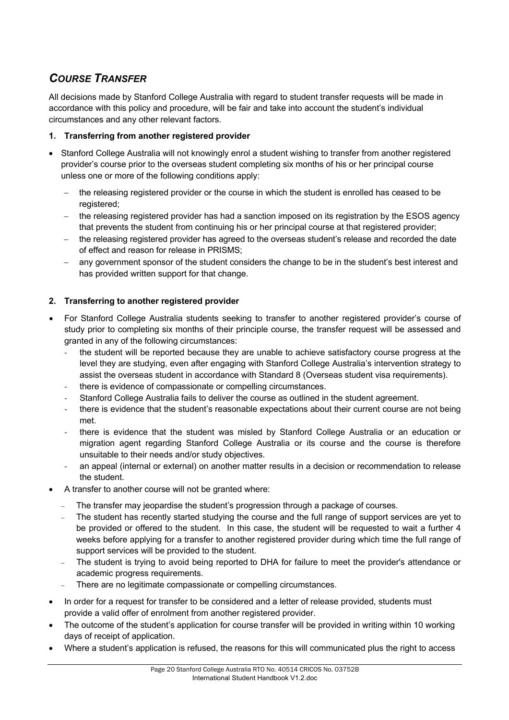# *COURSE TRANSFER*

All decisions made by Stanford College Australia with regard to student transfer requests will be made in accordance with this policy and procedure, will be fair and take into account the student's individual circumstances and any other relevant factors.

### **1. Transferring from another registered provider**

- Stanford College Australia will not knowingly enrol a student wishing to transfer from another registered provider's course prior to the overseas student completing six months of his or her principal course unless one or more of the following conditions apply:
	- the releasing registered provider or the course in which the student is enrolled has ceased to be registered:
	- the releasing registered provider has had a sanction imposed on its registration by the ESOS agency that prevents the student from continuing his or her principal course at that registered provider;
	- the releasing registered provider has agreed to the overseas student's release and recorded the date of effect and reason for release in PRISMS;
	- any government sponsor of the student considers the change to be in the student's best interest and has provided written support for that change.

### **2. Transferring to another registered provider**

- For Stanford College Australia students seeking to transfer to another registered provider's course of study prior to completing six months of their principle course, the transfer request will be assessed and granted in any of the following circumstances:
	- the student will be reported because they are unable to achieve satisfactory course progress at the level they are studying, even after engaging with Stanford College Australia's intervention strategy to assist the overseas student in accordance with Standard 8 (Overseas student visa requirements).
	- there is evidence of compassionate or compelling circumstances.
	- Stanford College Australia fails to deliver the course as outlined in the student agreement.
	- there is evidence that the student's reasonable expectations about their current course are not being met.
	- there is evidence that the student was misled by Stanford College Australia or an education or migration agent regarding Stanford College Australia or its course and the course is therefore unsuitable to their needs and/or study objectives.
	- an appeal (internal or external) on another matter results in a decision or recommendation to release the student.
- A transfer to another course will not be granted where:
	- The transfer may jeopardise the student's progression through a package of courses.
	- The student has recently started studying the course and the full range of support services are yet to be provided or offered to the student. In this case, the student will be requested to wait a further 4 weeks before applying for a transfer to another registered provider during which time the full range of support services will be provided to the student.
	- The student is trying to avoid being reported to DHA for failure to meet the provider's attendance or academic progress requirements.
	- There are no legitimate compassionate or compelling circumstances.
- In order for a request for transfer to be considered and a letter of release provided, students must provide a valid offer of enrolment from another registered provider.
- The outcome of the student's application for course transfer will be provided in writing within 10 working days of receipt of application.
- Where a student's application is refused, the reasons for this will communicated plus the right to access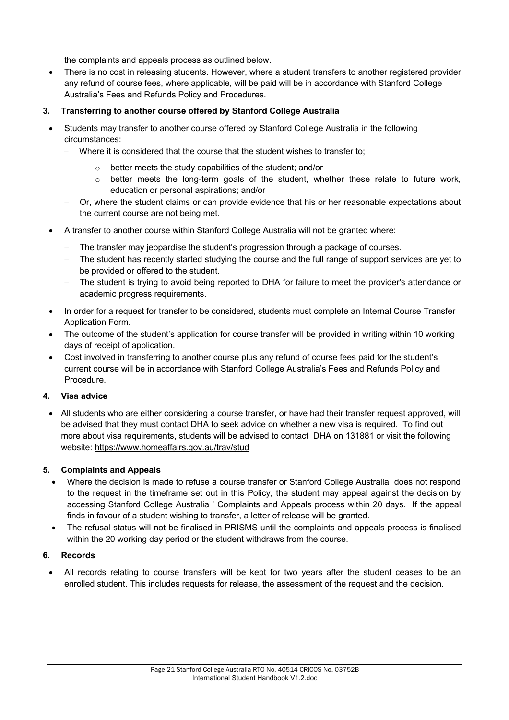the complaints and appeals process as outlined below.

- There is no cost in releasing students. However, where a student transfers to another registered provider, any refund of course fees, where applicable, will be paid will be in accordance with Stanford College Australia's Fees and Refunds Policy and Procedures.
- **3. Transferring to another course offered by Stanford College Australia** 
	- Students may transfer to another course offered by Stanford College Australia in the following circumstances:
		- Where it is considered that the course that the student wishes to transfer to;
			- better meets the study capabilities of the student; and/or
			- o better meets the long-term goals of the student, whether these relate to future work, education or personal aspirations; and/or
		- Or, where the student claims or can provide evidence that his or her reasonable expectations about the current course are not being met.
	- A transfer to another course within Stanford College Australia will not be granted where:
		- The transfer may jeopardise the student's progression through a package of courses.
		- The student has recently started studying the course and the full range of support services are yet to be provided or offered to the student.
		- The student is trying to avoid being reported to DHA for failure to meet the provider's attendance or academic progress requirements.
	- In order for a request for transfer to be considered, students must complete an Internal Course Transfer Application Form.
	- The outcome of the student's application for course transfer will be provided in writing within 10 working days of receipt of application.
	- Cost involved in transferring to another course plus any refund of course fees paid for the student's current course will be in accordance with Stanford College Australia's Fees and Refunds Policy and Procedure.

### **4. Visa advice**

• All students who are either considering a course transfer, or have had their transfer request approved, will be advised that they must contact DHA to seek advice on whether a new visa is required. To find out more about visa requirements, students will be advised to contact DHA on 131881 or visit the following website: https://www.homeaffairs.gov.au/trav/stud

### **5. Complaints and Appeals**

- Where the decision is made to refuse a course transfer or Stanford College Australia does not respond to the request in the timeframe set out in this Policy, the student may appeal against the decision by accessing Stanford College Australia ' Complaints and Appeals process within 20 days. If the appeal finds in favour of a student wishing to transfer, a letter of release will be granted.
- The refusal status will not be finalised in PRISMS until the complaints and appeals process is finalised within the 20 working day period or the student withdraws from the course.

### **6. Records**

• All records relating to course transfers will be kept for two years after the student ceases to be an enrolled student. This includes requests for release, the assessment of the request and the decision.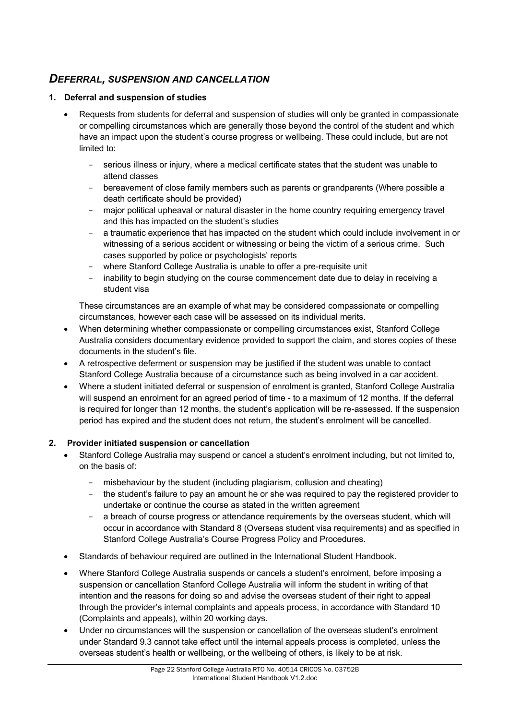# *DEFERRAL, SUSPENSION AND CANCELLATION*

### **1. Deferral and suspension of studies**

- Requests from students for deferral and suspension of studies will only be granted in compassionate or compelling circumstances which are generally those beyond the control of the student and which have an impact upon the student's course progress or wellbeing. These could include, but are not limited to:
	- serious illness or injury, where a medical certificate states that the student was unable to attend classes
	- bereavement of close family members such as parents or grandparents (Where possible a death certificate should be provided)
	- major political upheaval or natural disaster in the home country requiring emergency travel and this has impacted on the student's studies
	- a traumatic experience that has impacted on the student which could include involvement in or witnessing of a serious accident or witnessing or being the victim of a serious crime. Such cases supported by police or psychologists' reports
	- where Stanford College Australia is unable to offer a pre-requisite unit
	- inability to begin studying on the course commencement date due to delay in receiving a student visa

These circumstances are an example of what may be considered compassionate or compelling circumstances, however each case will be assessed on its individual merits.

- When determining whether compassionate or compelling circumstances exist, Stanford College Australia considers documentary evidence provided to support the claim, and stores copies of these documents in the student's file.
- A retrospective deferment or suspension may be justified if the student was unable to contact Stanford College Australia because of a circumstance such as being involved in a car accident.
- Where a student initiated deferral or suspension of enrolment is granted, Stanford College Australia will suspend an enrolment for an agreed period of time - to a maximum of 12 months. If the deferral is required for longer than 12 months, the student's application will be re-assessed. If the suspension period has expired and the student does not return, the student's enrolment will be cancelled.

### **2. Provider initiated suspension or cancellation**

- Stanford College Australia may suspend or cancel a student's enrolment including, but not limited to, on the basis of:
	- misbehaviour by the student (including plagiarism, collusion and cheating)
	- the student's failure to pay an amount he or she was required to pay the registered provider to undertake or continue the course as stated in the written agreement
	- a breach of course progress or attendance requirements by the overseas student, which will occur in accordance with Standard 8 (Overseas student visa requirements) and as specified in Stanford College Australia's Course Progress Policy and Procedures.
- Standards of behaviour required are outlined in the International Student Handbook.
- Where Stanford College Australia suspends or cancels a student's enrolment, before imposing a suspension or cancellation Stanford College Australia will inform the student in writing of that intention and the reasons for doing so and advise the overseas student of their right to appeal through the provider's internal complaints and appeals process, in accordance with Standard 10 (Complaints and appeals), within 20 working days.
- Under no circumstances will the suspension or cancellation of the overseas student's enrolment under Standard 9.3 cannot take effect until the internal appeals process is completed, unless the overseas student's health or wellbeing, or the wellbeing of others, is likely to be at risk.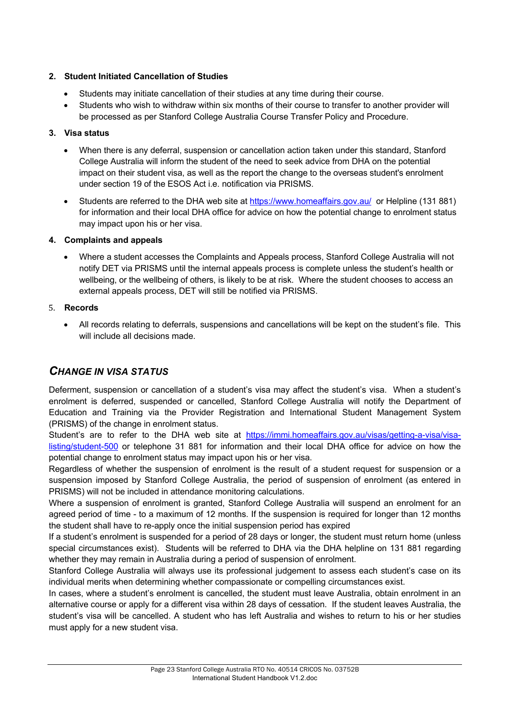### **2. Student Initiated Cancellation of Studies**

- Students may initiate cancellation of their studies at any time during their course.
- Students who wish to withdraw within six months of their course to transfer to another provider will be processed as per Stanford College Australia Course Transfer Policy and Procedure.

### **3. Visa status**

- When there is any deferral, suspension or cancellation action taken under this standard, Stanford College Australia will inform the student of the need to seek advice from DHA on the potential impact on their student visa, as well as the report the change to the overseas student's enrolment under section 19 of the ESOS Act i.e. notification via PRISMS.
- Students are referred to the DHA web site at https://www.homeaffairs.gov.au/ or Helpline (131 881) for information and their local DHA office for advice on how the potential change to enrolment status may impact upon his or her visa.

### **4. Complaints and appeals**

• Where a student accesses the Complaints and Appeals process, Stanford College Australia will not notify DET via PRISMS until the internal appeals process is complete unless the student's health or wellbeing, or the wellbeing of others, is likely to be at risk. Where the student chooses to access an external appeals process, DET will still be notified via PRISMS.

### 5. **Records**

• All records relating to deferrals, suspensions and cancellations will be kept on the student's file. This will include all decisions made.

# *CHANGE IN VISA STATUS*

Deferment, suspension or cancellation of a student's visa may affect the student's visa. When a student's enrolment is deferred, suspended or cancelled, Stanford College Australia will notify the Department of Education and Training via the Provider Registration and International Student Management System (PRISMS) of the change in enrolment status.

Student's are to refer to the DHA web site at https://immi.homeaffairs.gov.au/visas/getting-a-visa/visalisting/student-500 or telephone 31 881 for information and their local DHA office for advice on how the potential change to enrolment status may impact upon his or her visa.

Regardless of whether the suspension of enrolment is the result of a student request for suspension or a suspension imposed by Stanford College Australia, the period of suspension of enrolment (as entered in PRISMS) will not be included in attendance monitoring calculations.

Where a suspension of enrolment is granted, Stanford College Australia will suspend an enrolment for an agreed period of time - to a maximum of 12 months. If the suspension is required for longer than 12 months the student shall have to re-apply once the initial suspension period has expired

If a student's enrolment is suspended for a period of 28 days or longer, the student must return home (unless special circumstances exist). Students will be referred to DHA via the DHA helpline on 131 881 regarding whether they may remain in Australia during a period of suspension of enrolment.

Stanford College Australia will always use its professional judgement to assess each student's case on its individual merits when determining whether compassionate or compelling circumstances exist.

In cases, where a student's enrolment is cancelled, the student must leave Australia, obtain enrolment in an alternative course or apply for a different visa within 28 days of cessation. If the student leaves Australia, the student's visa will be cancelled. A student who has left Australia and wishes to return to his or her studies must apply for a new student visa.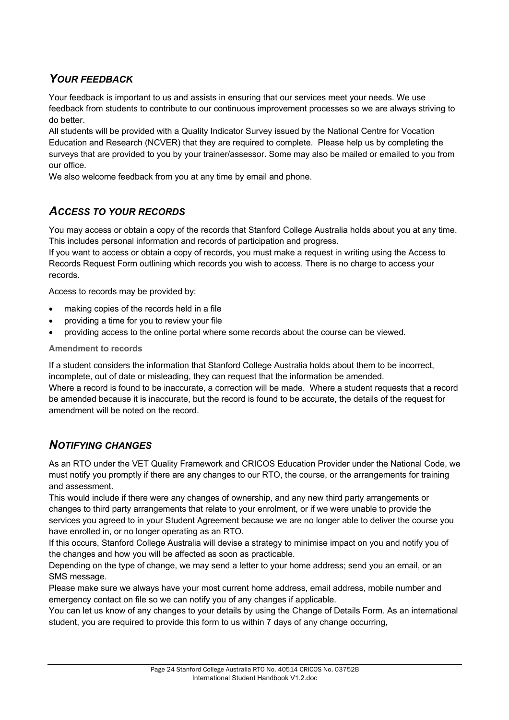# *YOUR FEEDBACK*

Your feedback is important to us and assists in ensuring that our services meet your needs. We use feedback from students to contribute to our continuous improvement processes so we are always striving to do better.

All students will be provided with a Quality Indicator Survey issued by the National Centre for Vocation Education and Research (NCVER) that they are required to complete. Please help us by completing the surveys that are provided to you by your trainer/assessor. Some may also be mailed or emailed to you from our office.

We also welcome feedback from you at any time by email and phone.

# *ACCESS TO YOUR RECORDS*

You may access or obtain a copy of the records that Stanford College Australia holds about you at any time. This includes personal information and records of participation and progress.

If you want to access or obtain a copy of records, you must make a request in writing using the Access to Records Request Form outlining which records you wish to access. There is no charge to access your records.

Access to records may be provided by:

- making copies of the records held in a file
- providing a time for you to review your file
- providing access to the online portal where some records about the course can be viewed.

### **Amendment to records**

If a student considers the information that Stanford College Australia holds about them to be incorrect, incomplete, out of date or misleading, they can request that the information be amended. Where a record is found to be inaccurate, a correction will be made. Where a student requests that a record be amended because it is inaccurate, but the record is found to be accurate, the details of the request for amendment will be noted on the record.

# *NOTIFYING CHANGES*

As an RTO under the VET Quality Framework and CRICOS Education Provider under the National Code, we must notify you promptly if there are any changes to our RTO, the course, or the arrangements for training and assessment.

This would include if there were any changes of ownership, and any new third party arrangements or changes to third party arrangements that relate to your enrolment, or if we were unable to provide the services you agreed to in your Student Agreement because we are no longer able to deliver the course you have enrolled in, or no longer operating as an RTO.

If this occurs, Stanford College Australia will devise a strategy to minimise impact on you and notify you of the changes and how you will be affected as soon as practicable.

Depending on the type of change, we may send a letter to your home address; send you an email, or an SMS message.

Please make sure we always have your most current home address, email address, mobile number and emergency contact on file so we can notify you of any changes if applicable.

You can let us know of any changes to your details by using the Change of Details Form. As an international student, you are required to provide this form to us within 7 days of any change occurring,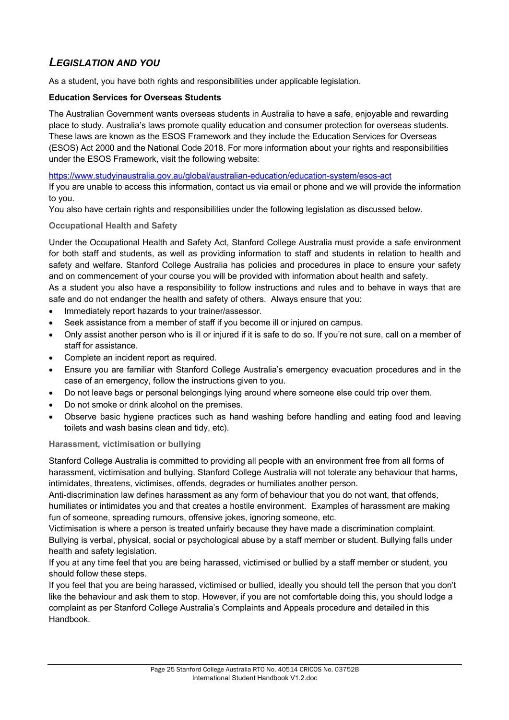# *LEGISLATION AND YOU*

As a student, you have both rights and responsibilities under applicable legislation.

### **Education Services for Overseas Students**

The Australian Government wants overseas students in Australia to have a safe, enjoyable and rewarding place to study. Australia's laws promote quality education and consumer protection for overseas students. These laws are known as the ESOS Framework and they include the Education Services for Overseas (ESOS) Act 2000 and the National Code 2018. For more information about your rights and responsibilities under the ESOS Framework, visit the following website:

https://www.studyinaustralia.gov.au/global/australian-education/education-system/esos-act

If you are unable to access this information, contact us via email or phone and we will provide the information to you.

You also have certain rights and responsibilities under the following legislation as discussed below.

### **Occupational Health and Safety**

Under the Occupational Health and Safety Act, Stanford College Australia must provide a safe environment for both staff and students, as well as providing information to staff and students in relation to health and safety and welfare. Stanford College Australia has policies and procedures in place to ensure your safety and on commencement of your course you will be provided with information about health and safety.

As a student you also have a responsibility to follow instructions and rules and to behave in ways that are safe and do not endanger the health and safety of others. Always ensure that you:

- Immediately report hazards to your trainer/assessor.
- Seek assistance from a member of staff if you become ill or injured on campus.
- Only assist another person who is ill or injured if it is safe to do so. If you're not sure, call on a member of staff for assistance.
- Complete an incident report as required.
- Ensure you are familiar with Stanford College Australia's emergency evacuation procedures and in the case of an emergency, follow the instructions given to you.
- Do not leave bags or personal belongings lying around where someone else could trip over them.
- Do not smoke or drink alcohol on the premises.
- Observe basic hygiene practices such as hand washing before handling and eating food and leaving toilets and wash basins clean and tidy, etc).

### **Harassment, victimisation or bullying**

Stanford College Australia is committed to providing all people with an environment free from all forms of harassment, victimisation and bullying. Stanford College Australia will not tolerate any behaviour that harms, intimidates, threatens, victimises, offends, degrades or humiliates another person.

Anti-discrimination law defines harassment as any form of behaviour that you do not want, that offends, humiliates or intimidates you and that creates a hostile environment. Examples of harassment are making fun of someone, spreading rumours, offensive jokes, ignoring someone, etc.

Victimisation is where a person is treated unfairly because they have made a discrimination complaint. Bullying is verbal, physical, social or psychological abuse by a staff member or student. Bullying falls under health and safety legislation.

If you at any time feel that you are being harassed, victimised or bullied by a staff member or student, you should follow these steps.

If you feel that you are being harassed, victimised or bullied, ideally you should tell the person that you don't like the behaviour and ask them to stop. However, if you are not comfortable doing this, you should lodge a complaint as per Stanford College Australia's Complaints and Appeals procedure and detailed in this Handbook.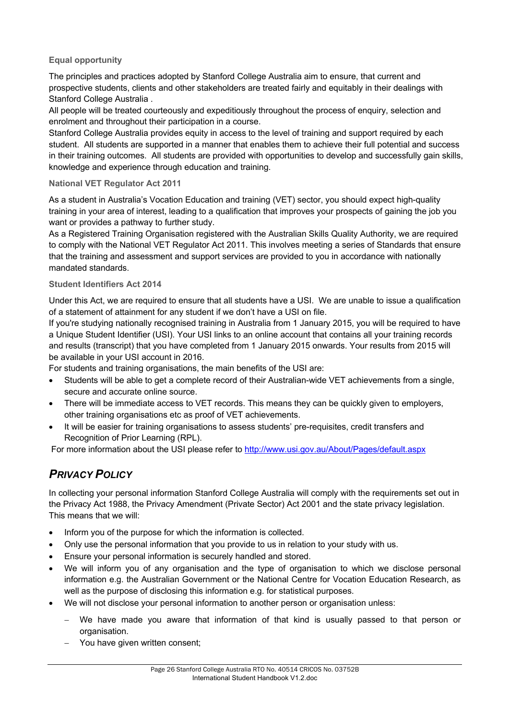### **Equal opportunity**

The principles and practices adopted by Stanford College Australia aim to ensure, that current and prospective students, clients and other stakeholders are treated fairly and equitably in their dealings with Stanford College Australia .

All people will be treated courteously and expeditiously throughout the process of enquiry, selection and enrolment and throughout their participation in a course.

Stanford College Australia provides equity in access to the level of training and support required by each student. All students are supported in a manner that enables them to achieve their full potential and success in their training outcomes. All students are provided with opportunities to develop and successfully gain skills, knowledge and experience through education and training.

### **National VET Regulator Act 2011**

As a student in Australia's Vocation Education and training (VET) sector, you should expect high-quality training in your area of interest, leading to a qualification that improves your prospects of gaining the job you want or provides a pathway to further study.

As a Registered Training Organisation registered with the Australian Skills Quality Authority, we are required to comply with the National VET Regulator Act 2011. This involves meeting a series of Standards that ensure that the training and assessment and support services are provided to you in accordance with nationally mandated standards.

### **Student Identifiers Act 2014**

Under this Act, we are required to ensure that all students have a USI. We are unable to issue a qualification of a statement of attainment for any student if we don't have a USI on file.

If you're studying nationally recognised training in Australia from 1 January 2015, you will be required to have a Unique Student Identifier (USI). Your USI links to an online account that contains all your training records and results (transcript) that you have completed from 1 January 2015 onwards. Your results from 2015 will be available in your USI account in 2016.

For students and training organisations, the main benefits of the USI are:

- Students will be able to get a complete record of their Australian-wide VET achievements from a single, secure and accurate online source.
- There will be immediate access to VET records. This means they can be quickly given to employers, other training organisations etc as proof of VET achievements.
- It will be easier for training organisations to assess students' pre-requisites, credit transfers and Recognition of Prior Learning (RPL).

For more information about the USI please refer to http://www.usi.gov.au/About/Pages/default.aspx

# *PRIVACY POLICY*

In collecting your personal information Stanford College Australia will comply with the requirements set out in the Privacy Act 1988, the Privacy Amendment (Private Sector) Act 2001 and the state privacy legislation. This means that we will:

- Inform you of the purpose for which the information is collected.
- Only use the personal information that you provide to us in relation to your study with us.
- Ensure your personal information is securely handled and stored.
- We will inform you of any organisation and the type of organisation to which we disclose personal information e.g. the Australian Government or the National Centre for Vocation Education Research, as well as the purpose of disclosing this information e.g. for statistical purposes.
- We will not disclose your personal information to another person or organisation unless:
	- We have made you aware that information of that kind is usually passed to that person or organisation.
	- You have given written consent;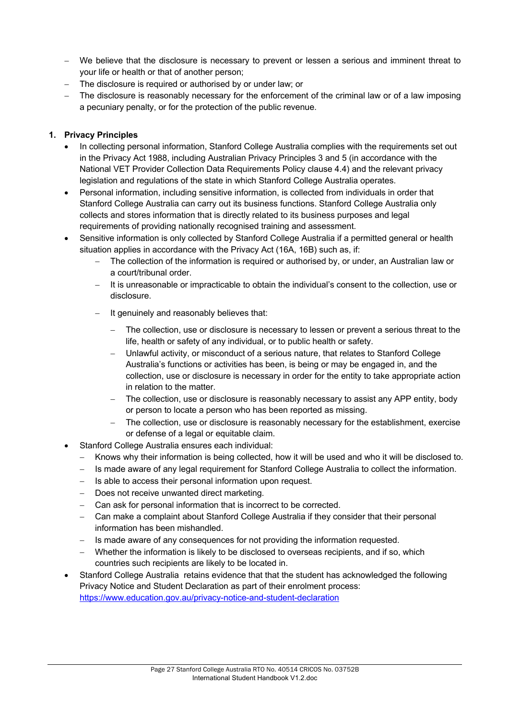- We believe that the disclosure is necessary to prevent or lessen a serious and imminent threat to your life or health or that of another person;
- The disclosure is required or authorised by or under law; or
- The disclosure is reasonably necessary for the enforcement of the criminal law or of a law imposing a pecuniary penalty, or for the protection of the public revenue.

### **1. Privacy Principles**

- In collecting personal information, Stanford College Australia complies with the requirements set out in the Privacy Act 1988, including Australian Privacy Principles 3 and 5 (in accordance with the National VET Provider Collection Data Requirements Policy clause 4.4) and the relevant privacy legislation and regulations of the state in which Stanford College Australia operates.
- Personal information, including sensitive information, is collected from individuals in order that Stanford College Australia can carry out its business functions. Stanford College Australia only collects and stores information that is directly related to its business purposes and legal requirements of providing nationally recognised training and assessment.
- Sensitive information is only collected by Stanford College Australia if a permitted general or health situation applies in accordance with the Privacy Act (16A, 16B) such as, if:
	- The collection of the information is required or authorised by, or under, an Australian law or a court/tribunal order.
	- It is unreasonable or impracticable to obtain the individual's consent to the collection, use or disclosure.
	- It genuinely and reasonably believes that:
		- The collection, use or disclosure is necessary to lessen or prevent a serious threat to the life, health or safety of any individual, or to public health or safety.
		- Unlawful activity, or misconduct of a serious nature, that relates to Stanford College Australia's functions or activities has been, is being or may be engaged in, and the collection, use or disclosure is necessary in order for the entity to take appropriate action in relation to the matter.
		- The collection, use or disclosure is reasonably necessary to assist any APP entity, body or person to locate a person who has been reported as missing.
		- The collection, use or disclosure is reasonably necessary for the establishment, exercise or defense of a legal or equitable claim.
	- Stanford College Australia ensures each individual:
		- Knows why their information is being collected, how it will be used and who it will be disclosed to.
		- Is made aware of any legal requirement for Stanford College Australia to collect the information.
		- Is able to access their personal information upon request.
		- Does not receive unwanted direct marketing.
		- Can ask for personal information that is incorrect to be corrected.
		- Can make a complaint about Stanford College Australia if they consider that their personal information has been mishandled.
		- Is made aware of any consequences for not providing the information requested.
		- Whether the information is likely to be disclosed to overseas recipients, and if so, which countries such recipients are likely to be located in.
- Stanford College Australia retains evidence that that the student has acknowledged the following Privacy Notice and Student Declaration as part of their enrolment process: https://www.education.gov.au/privacy-notice-and-student-declaration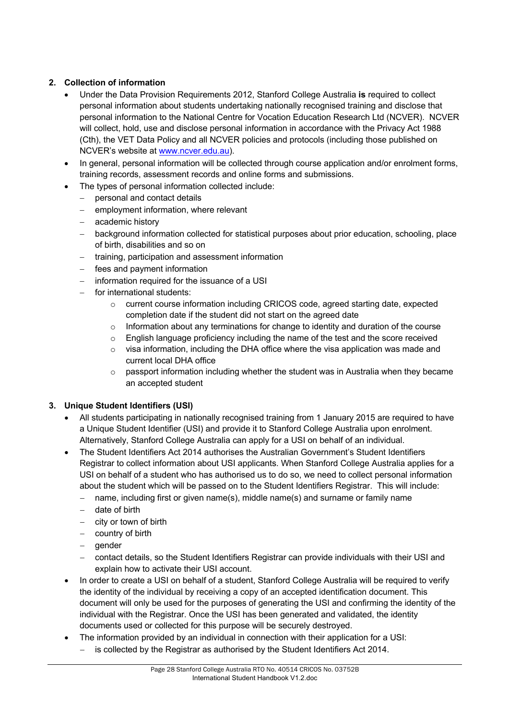### **2. Collection of information**

- Under the Data Provision Requirements 2012, Stanford College Australia **is** required to collect personal information about students undertaking nationally recognised training and disclose that personal information to the National Centre for Vocation Education Research Ltd (NCVER). NCVER will collect, hold, use and disclose personal information in accordance with the Privacy Act 1988 (Cth), the VET Data Policy and all NCVER policies and protocols (including those published on NCVER's website at www.ncver.edu.au).
- In general, personal information will be collected through course application and/or enrolment forms, training records, assessment records and online forms and submissions.
- The types of personal information collected include:
	- personal and contact details
	- employment information, where relevant
	- academic history
	- background information collected for statistical purposes about prior education, schooling, place of birth, disabilities and so on
	- training, participation and assessment information
	- fees and payment information
	- information required for the issuance of a USI
	- for international students:
		- o current course information including CRICOS code, agreed starting date, expected completion date if the student did not start on the agreed date
		- $\circ$  Information about any terminations for change to identity and duration of the course
		- $\circ$  English language proficiency including the name of the test and the score received
		- o visa information, including the DHA office where the visa application was made and current local DHA office
		- $\circ$  passport information including whether the student was in Australia when they became an accepted student

### **3. Unique Student Identifiers (USI)**

- All students participating in nationally recognised training from 1 January 2015 are required to have a Unique Student Identifier (USI) and provide it to Stanford College Australia upon enrolment. Alternatively, Stanford College Australia can apply for a USI on behalf of an individual.
- The Student Identifiers Act 2014 authorises the Australian Government's Student Identifiers Registrar to collect information about USI applicants. When Stanford College Australia applies for a USI on behalf of a student who has authorised us to do so, we need to collect personal information about the student which will be passed on to the Student Identifiers Registrar. This will include:
	- name, including first or given name(s), middle name(s) and surname or family name
	- date of birth
	- city or town of birth
	- country of birth
	- gender
	- contact details, so the Student Identifiers Registrar can provide individuals with their USI and explain how to activate their USI account.
- In order to create a USI on behalf of a student, Stanford College Australia will be required to verify the identity of the individual by receiving a copy of an accepted identification document. This document will only be used for the purposes of generating the USI and confirming the identity of the individual with the Registrar. Once the USI has been generated and validated, the identity documents used or collected for this purpose will be securely destroyed.
- The information provided by an individual in connection with their application for a USI:
	- is collected by the Registrar as authorised by the Student Identifiers Act 2014.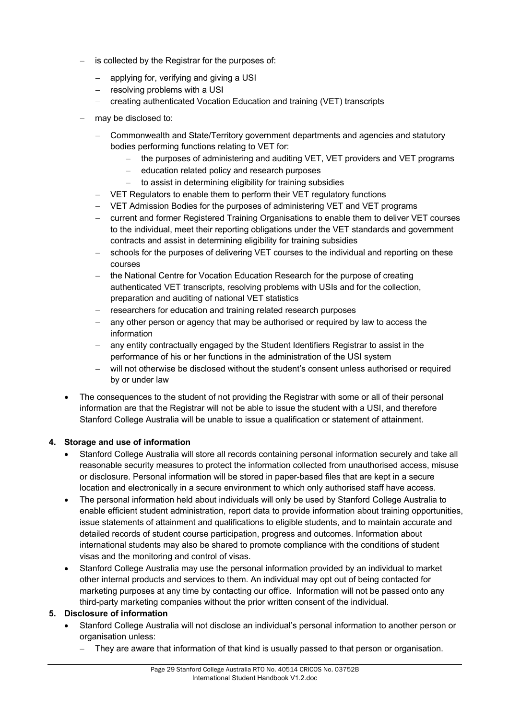- is collected by the Registrar for the purposes of:
	- applying for, verifying and giving a USI
	- resolving problems with a USI
	- creating authenticated Vocation Education and training (VET) transcripts
- may be disclosed to:
	- Commonwealth and State/Territory government departments and agencies and statutory bodies performing functions relating to VET for:
		- the purposes of administering and auditing VET, VET providers and VET programs
		- education related policy and research purposes
		- to assist in determining eligibility for training subsidies
	- VET Regulators to enable them to perform their VET regulatory functions
	- VET Admission Bodies for the purposes of administering VET and VET programs
	- current and former Registered Training Organisations to enable them to deliver VET courses to the individual, meet their reporting obligations under the VET standards and government contracts and assist in determining eligibility for training subsidies
	- schools for the purposes of delivering VET courses to the individual and reporting on these courses
	- the National Centre for Vocation Education Research for the purpose of creating authenticated VET transcripts, resolving problems with USIs and for the collection, preparation and auditing of national VET statistics
	- researchers for education and training related research purposes
	- any other person or agency that may be authorised or required by law to access the information
	- any entity contractually engaged by the Student Identifiers Registrar to assist in the performance of his or her functions in the administration of the USI system
	- will not otherwise be disclosed without the student's consent unless authorised or required by or under law
- The consequences to the student of not providing the Registrar with some or all of their personal information are that the Registrar will not be able to issue the student with a USI, and therefore Stanford College Australia will be unable to issue a qualification or statement of attainment.

### **4. Storage and use of information**

- Stanford College Australia will store all records containing personal information securely and take all reasonable security measures to protect the information collected from unauthorised access, misuse or disclosure. Personal information will be stored in paper-based files that are kept in a secure location and electronically in a secure environment to which only authorised staff have access.
- The personal information held about individuals will only be used by Stanford College Australia to enable efficient student administration, report data to provide information about training opportunities, issue statements of attainment and qualifications to eligible students, and to maintain accurate and detailed records of student course participation, progress and outcomes. Information about international students may also be shared to promote compliance with the conditions of student visas and the monitoring and control of visas.
- Stanford College Australia may use the personal information provided by an individual to market other internal products and services to them. An individual may opt out of being contacted for marketing purposes at any time by contacting our office. Information will not be passed onto any third-party marketing companies without the prior written consent of the individual.

### **5. Disclosure of information**

- Stanford College Australia will not disclose an individual's personal information to another person or organisation unless:
	- They are aware that information of that kind is usually passed to that person or organisation.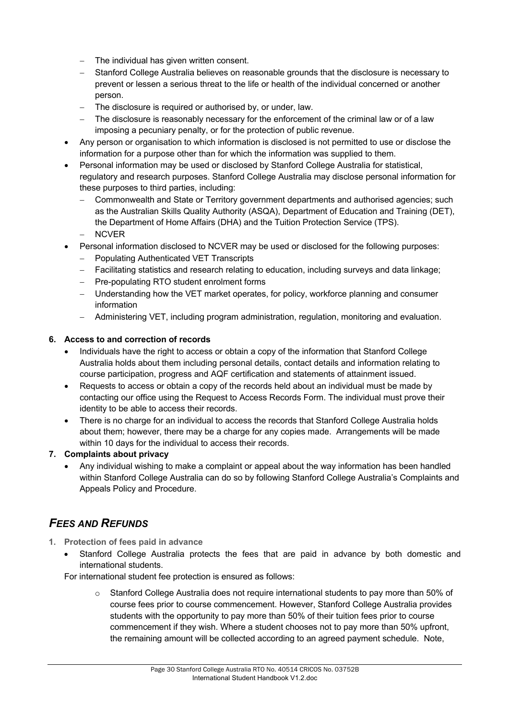- The individual has given written consent.
- Stanford College Australia believes on reasonable grounds that the disclosure is necessary to prevent or lessen a serious threat to the life or health of the individual concerned or another person.
- The disclosure is required or authorised by, or under, law.
- The disclosure is reasonably necessary for the enforcement of the criminal law or of a law imposing a pecuniary penalty, or for the protection of public revenue.
- Any person or organisation to which information is disclosed is not permitted to use or disclose the information for a purpose other than for which the information was supplied to them.
- Personal information may be used or disclosed by Stanford College Australia for statistical, regulatory and research purposes. Stanford College Australia may disclose personal information for these purposes to third parties, including:
	- Commonwealth and State or Territory government departments and authorised agencies; such as the Australian Skills Quality Authority (ASQA), Department of Education and Training (DET), the Department of Home Affairs (DHA) and the Tuition Protection Service (TPS).
	- **NCVER**
- Personal information disclosed to NCVER may be used or disclosed for the following purposes:
	- Populating Authenticated VET Transcripts
	- Facilitating statistics and research relating to education, including surveys and data linkage;
	- Pre-populating RTO student enrolment forms
	- Understanding how the VET market operates, for policy, workforce planning and consumer information
	- Administering VET, including program administration, regulation, monitoring and evaluation.

### **6. Access to and correction of records**

- Individuals have the right to access or obtain a copy of the information that Stanford College Australia holds about them including personal details, contact details and information relating to course participation, progress and AQF certification and statements of attainment issued.
- Requests to access or obtain a copy of the records held about an individual must be made by contacting our office using the Request to Access Records Form. The individual must prove their identity to be able to access their records.
- There is no charge for an individual to access the records that Stanford College Australia holds about them; however, there may be a charge for any copies made. Arrangements will be made within 10 days for the individual to access their records.

### **7. Complaints about privacy**

• Any individual wishing to make a complaint or appeal about the way information has been handled within Stanford College Australia can do so by following Stanford College Australia's Complaints and Appeals Policy and Procedure.

# *FEES AND REFUNDS*

- **1. Protection of fees paid in advance** 
	- Stanford College Australia protects the fees that are paid in advance by both domestic and international students.

For international student fee protection is ensured as follows:

 $\circ$  Stanford College Australia does not require international students to pay more than 50% of course fees prior to course commencement. However, Stanford College Australia provides students with the opportunity to pay more than 50% of their tuition fees prior to course commencement if they wish. Where a student chooses not to pay more than 50% upfront, the remaining amount will be collected according to an agreed payment schedule. Note,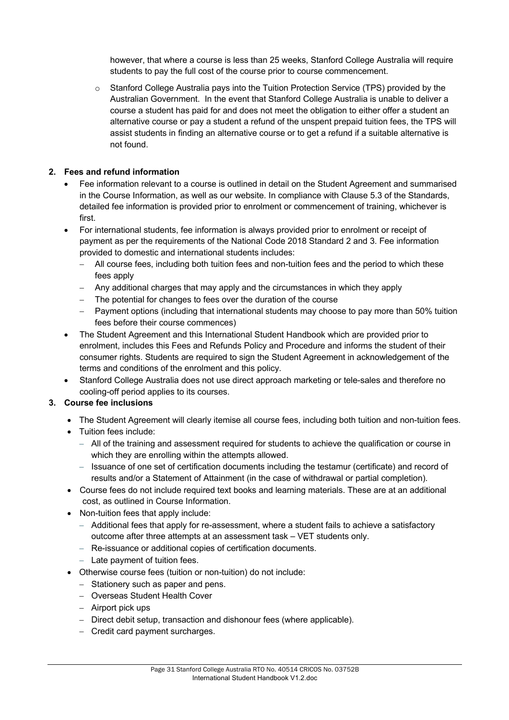however, that where a course is less than 25 weeks, Stanford College Australia will require students to pay the full cost of the course prior to course commencement.

o Stanford College Australia pays into the Tuition Protection Service (TPS) provided by the Australian Government. In the event that Stanford College Australia is unable to deliver a course a student has paid for and does not meet the obligation to either offer a student an alternative course or pay a student a refund of the unspent prepaid tuition fees, the TPS will assist students in finding an alternative course or to get a refund if a suitable alternative is not found.

### **2. Fees and refund information**

- Fee information relevant to a course is outlined in detail on the Student Agreement and summarised in the Course Information, as well as our website. In compliance with Clause 5.3 of the Standards, detailed fee information is provided prior to enrolment or commencement of training, whichever is first.
- For international students, fee information is always provided prior to enrolment or receipt of payment as per the requirements of the National Code 2018 Standard 2 and 3. Fee information provided to domestic and international students includes:
	- All course fees, including both tuition fees and non-tuition fees and the period to which these fees apply
	- Any additional charges that may apply and the circumstances in which they apply
	- The potential for changes to fees over the duration of the course
	- Payment options (including that international students may choose to pay more than 50% tuition fees before their course commences)
- The Student Agreement and this International Student Handbook which are provided prior to enrolment, includes this Fees and Refunds Policy and Procedure and informs the student of their consumer rights. Students are required to sign the Student Agreement in acknowledgement of the terms and conditions of the enrolment and this policy.
- Stanford College Australia does not use direct approach marketing or tele-sales and therefore no cooling-off period applies to its courses.

### **3. Course fee inclusions**

- The Student Agreement will clearly itemise all course fees, including both tuition and non-tuition fees.
- Tuition fees include:
	- All of the training and assessment required for students to achieve the qualification or course in which they are enrolling within the attempts allowed.
	- Issuance of one set of certification documents including the testamur (certificate) and record of results and/or a Statement of Attainment (in the case of withdrawal or partial completion).
- Course fees do not include required text books and learning materials. These are at an additional cost, as outlined in Course Information.
- Non-tuition fees that apply include:
	- Additional fees that apply for re-assessment, where a student fails to achieve a satisfactory outcome after three attempts at an assessment task – VET students only.
	- Re-issuance or additional copies of certification documents.
	- Late payment of tuition fees.
- Otherwise course fees (tuition or non-tuition) do not include:
	- Stationery such as paper and pens.
	- Overseas Student Health Cover
	- Airport pick ups
	- Direct debit setup, transaction and dishonour fees (where applicable).
	- Credit card payment surcharges.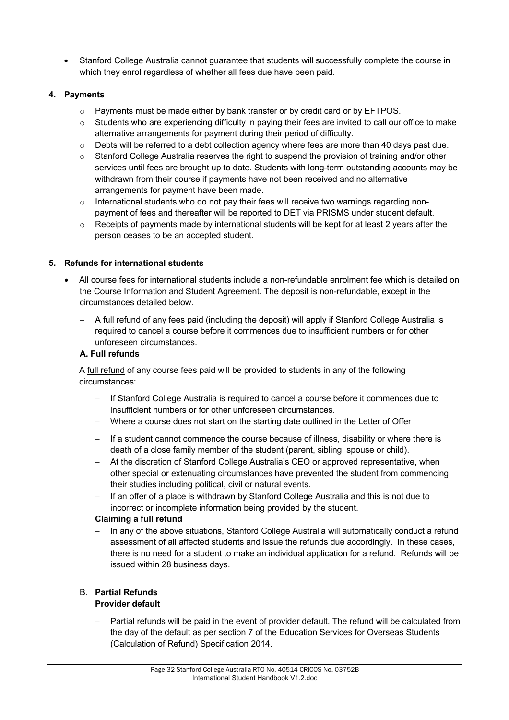• Stanford College Australia cannot guarantee that students will successfully complete the course in which they enrol regardless of whether all fees due have been paid.

### **4. Payments**

- o Payments must be made either by bank transfer or by credit card or by EFTPOS.
- $\circ$  Students who are experiencing difficulty in paying their fees are invited to call our office to make alternative arrangements for payment during their period of difficulty.
- o Debts will be referred to a debt collection agency where fees are more than 40 days past due.
- $\circ$  Stanford College Australia reserves the right to suspend the provision of training and/or other services until fees are brought up to date. Students with long-term outstanding accounts may be withdrawn from their course if payments have not been received and no alternative arrangements for payment have been made.
- $\circ$  International students who do not pay their fees will receive two warnings regarding nonpayment of fees and thereafter will be reported to DET via PRISMS under student default.
- $\circ$  Receipts of payments made by international students will be kept for at least 2 years after the person ceases to be an accepted student.

### **5. Refunds for international students**

- All course fees for international students include a non-refundable enrolment fee which is detailed on the Course Information and Student Agreement. The deposit is non-refundable, except in the circumstances detailed below.
	- A full refund of any fees paid (including the deposit) will apply if Stanford College Australia is required to cancel a course before it commences due to insufficient numbers or for other unforeseen circumstances.

### **A. Full refunds**

A full refund of any course fees paid will be provided to students in any of the following circumstances:

- If Stanford College Australia is required to cancel a course before it commences due to insufficient numbers or for other unforeseen circumstances.
- Where a course does not start on the starting date outlined in the Letter of Offer
- If a student cannot commence the course because of illness, disability or where there is death of a close family member of the student (parent, sibling, spouse or child).
- At the discretion of Stanford College Australia's CEO or approved representative, when other special or extenuating circumstances have prevented the student from commencing their studies including political, civil or natural events.
- If an offer of a place is withdrawn by Stanford College Australia and this is not due to incorrect or incomplete information being provided by the student.

### **Claiming a full refund**

- In any of the above situations, Stanford College Australia will automatically conduct a refund assessment of all affected students and issue the refunds due accordingly. In these cases, there is no need for a student to make an individual application for a refund. Refunds will be issued within 28 business days.

# B. **Partial Refunds**

### **Provider default**

Partial refunds will be paid in the event of provider default. The refund will be calculated from the day of the default as per section 7 of the Education Services for Overseas Students (Calculation of Refund) Specification 2014.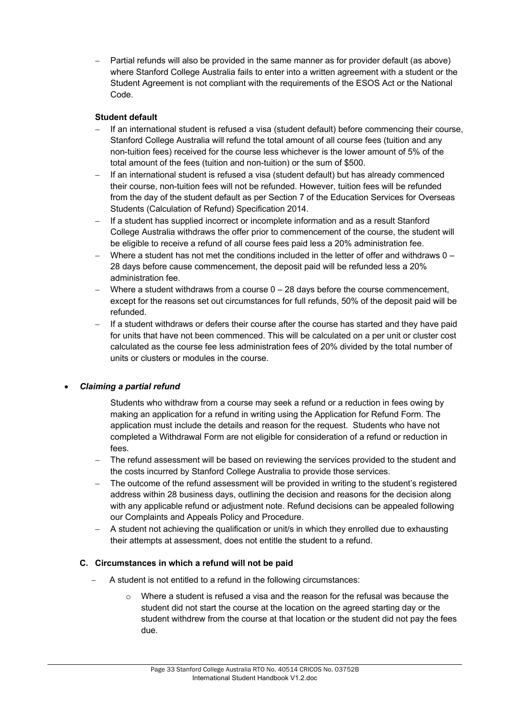Partial refunds will also be provided in the same manner as for provider default (as above) where Stanford College Australia fails to enter into a written agreement with a student or the Student Agreement is not compliant with the requirements of the ESOS Act or the National Code.

### **Student default**

- If an international student is refused a visa (student default) before commencing their course, Stanford College Australia will refund the total amount of all course fees (tuition and any non-tuition fees) received for the course less whichever is the lower amount of 5% of the total amount of the fees (tuition and non-tuition) or the sum of \$500.
- If an international student is refused a visa (student default) but has already commenced their course, non-tuition fees will not be refunded. However, tuition fees will be refunded from the day of the student default as per Section 7 of the Education Services for Overseas Students (Calculation of Refund) Specification 2014.
- If a student has supplied incorrect or incomplete information and as a result Stanford College Australia withdraws the offer prior to commencement of the course, the student will be eligible to receive a refund of all course fees paid less a 20% administration fee.
- Where a student has not met the conditions included in the letter of offer and withdraws  $0 -$ 28 days before cause commencement, the deposit paid will be refunded less a 20% administration fee.
- Where a student withdraws from a course  $0 28$  days before the course commencement, except for the reasons set out circumstances for full refunds, 50% of the deposit paid will be refunded.
- If a student withdraws or defers their course after the course has started and they have paid for units that have not been commenced. This will be calculated on a per unit or cluster cost calculated as the course fee less administration fees of 20% divided by the total number of units or clusters or modules in the course.

### • *Claiming a partial refund*

Students who withdraw from a course may seek a refund or a reduction in fees owing by making an application for a refund in writing using the Application for Refund Form. The application must include the details and reason for the request. Students who have not completed a Withdrawal Form are not eligible for consideration of a refund or reduction in fees.

- The refund assessment will be based on reviewing the services provided to the student and the costs incurred by Stanford College Australia to provide those services.
- The outcome of the refund assessment will be provided in writing to the student's registered address within 28 business days, outlining the decision and reasons for the decision along with any applicable refund or adjustment note. Refund decisions can be appealed following our Complaints and Appeals Policy and Procedure.
- A student not achieving the qualification or unit/s in which they enrolled due to exhausting their attempts at assessment, does not entitle the student to a refund.

### **C. Circumstances in which a refund will not be paid**

- A student is not entitled to a refund in the following circumstances:
	- $\circ$  Where a student is refused a visa and the reason for the refusal was because the student did not start the course at the location on the agreed starting day or the student withdrew from the course at that location or the student did not pay the fees due.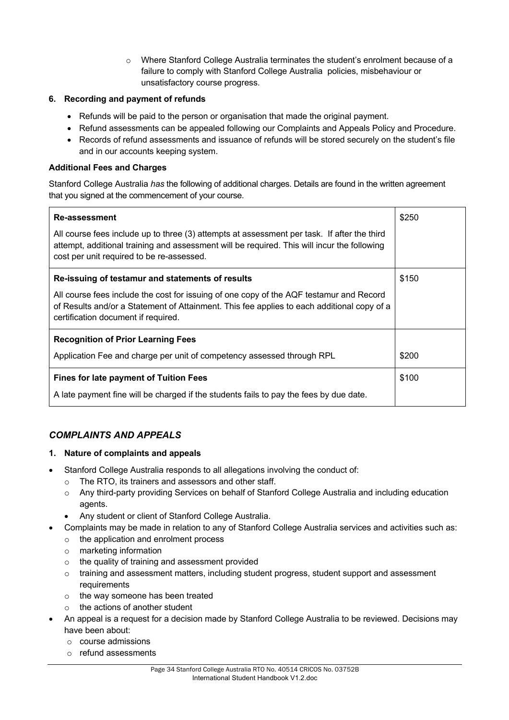o Where Stanford College Australia terminates the student's enrolment because of a failure to comply with Stanford College Australia policies, misbehaviour or unsatisfactory course progress.

### **6. Recording and payment of refunds**

- Refunds will be paid to the person or organisation that made the original payment.
- Refund assessments can be appealed following our Complaints and Appeals Policy and Procedure.
- Records of refund assessments and issuance of refunds will be stored securely on the student's file and in our accounts keeping system.

### **Additional Fees and Charges**

Stanford College Australia *has* the following of additional charges. Details are found in the written agreement that you signed at the commencement of your course.

| <b>Re-assessment</b>                                                                                                                                                                                                                    | \$250 |
|-----------------------------------------------------------------------------------------------------------------------------------------------------------------------------------------------------------------------------------------|-------|
| All course fees include up to three (3) attempts at assessment per task. If after the third<br>attempt, additional training and assessment will be required. This will incur the following<br>cost per unit required to be re-assessed. |       |
| Re-issuing of testamur and statements of results                                                                                                                                                                                        | \$150 |
| All course fees include the cost for issuing of one copy of the AQF testamur and Record<br>of Results and/or a Statement of Attainment. This fee applies to each additional copy of a<br>certification document if required.            |       |
| <b>Recognition of Prior Learning Fees</b>                                                                                                                                                                                               |       |
| Application Fee and charge per unit of competency assessed through RPL                                                                                                                                                                  | \$200 |
| <b>Fines for late payment of Tuition Fees</b>                                                                                                                                                                                           | \$100 |
| A late payment fine will be charged if the students fails to pay the fees by due date.                                                                                                                                                  |       |

### *COMPLAINTS AND APPEALS*

### **1. Nature of complaints and appeals**

- Stanford College Australia responds to all allegations involving the conduct of:
	- o The RTO, its trainers and assessors and other staff.
	- o Any third-party providing Services on behalf of Stanford College Australia and including education agents.
	- Any student or client of Stanford College Australia.
- Complaints may be made in relation to any of Stanford College Australia services and activities such as:
	- o the application and enrolment process
	- o marketing information
	- o the quality of training and assessment provided
	- o training and assessment matters, including student progress, student support and assessment requirements
	- o the way someone has been treated
	- o the actions of another student
- An appeal is a request for a decision made by Stanford College Australia to be reviewed. Decisions may have been about:
	- o course admissions
	- o refund assessments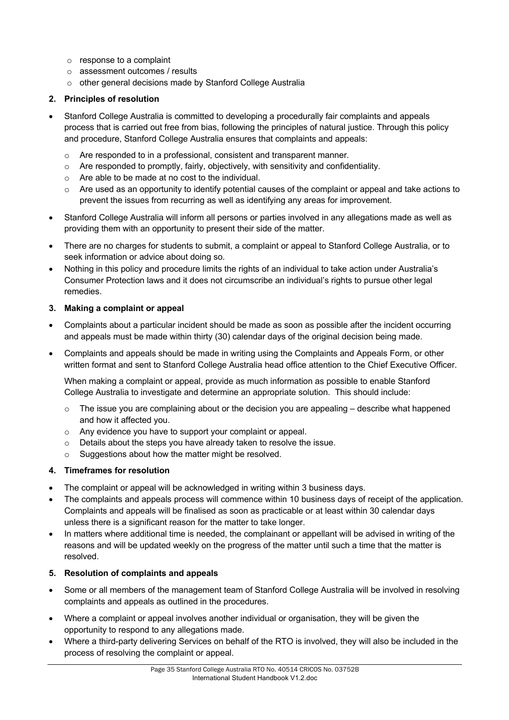- o response to a complaint
- o assessment outcomes / results
- o other general decisions made by Stanford College Australia

### **2. Principles of resolution**

- Stanford College Australia is committed to developing a procedurally fair complaints and appeals process that is carried out free from bias, following the principles of natural justice. Through this policy and procedure, Stanford College Australia ensures that complaints and appeals:
	- o Are responded to in a professional, consistent and transparent manner.
	- $\circ$  Are responded to promptly, fairly, objectively, with sensitivity and confidentiality.
	- o Are able to be made at no cost to the individual.
	- $\circ$  Are used as an opportunity to identify potential causes of the complaint or appeal and take actions to prevent the issues from recurring as well as identifying any areas for improvement.
- Stanford College Australia will inform all persons or parties involved in any allegations made as well as providing them with an opportunity to present their side of the matter.
- There are no charges for students to submit, a complaint or appeal to Stanford College Australia, or to seek information or advice about doing so.
- Nothing in this policy and procedure limits the rights of an individual to take action under Australia's Consumer Protection laws and it does not circumscribe an individual's rights to pursue other legal remedies.

### **3. Making a complaint or appeal**

- Complaints about a particular incident should be made as soon as possible after the incident occurring and appeals must be made within thirty (30) calendar days of the original decision being made.
- Complaints and appeals should be made in writing using the Complaints and Appeals Form, or other written format and sent to Stanford College Australia head office attention to the Chief Executive Officer.

When making a complaint or appeal, provide as much information as possible to enable Stanford College Australia to investigate and determine an appropriate solution. This should include:

- $\circ$  The issue you are complaining about or the decision you are appealing describe what happened and how it affected you.
- o Any evidence you have to support your complaint or appeal.
- o Details about the steps you have already taken to resolve the issue.
- o Suggestions about how the matter might be resolved.

### **4. Timeframes for resolution**

- The complaint or appeal will be acknowledged in writing within 3 business days.
- The complaints and appeals process will commence within 10 business days of receipt of the application. Complaints and appeals will be finalised as soon as practicable or at least within 30 calendar days unless there is a significant reason for the matter to take longer.
- In matters where additional time is needed, the complainant or appellant will be advised in writing of the reasons and will be updated weekly on the progress of the matter until such a time that the matter is resolved.

### **5. Resolution of complaints and appeals**

- Some or all members of the management team of Stanford College Australia will be involved in resolving complaints and appeals as outlined in the procedures.
- Where a complaint or appeal involves another individual or organisation, they will be given the opportunity to respond to any allegations made.
- Where a third-party delivering Services on behalf of the RTO is involved, they will also be included in the process of resolving the complaint or appeal.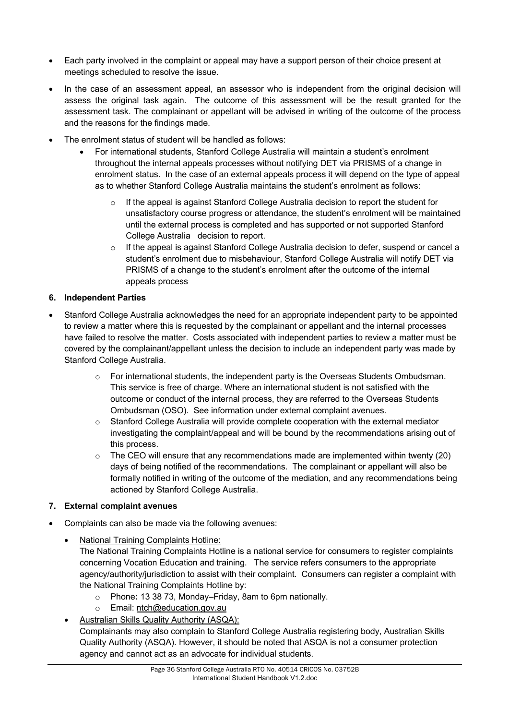- Each party involved in the complaint or appeal may have a support person of their choice present at meetings scheduled to resolve the issue.
- In the case of an assessment appeal, an assessor who is independent from the original decision will assess the original task again. The outcome of this assessment will be the result granted for the assessment task. The complainant or appellant will be advised in writing of the outcome of the process and the reasons for the findings made.
- The enrolment status of student will be handled as follows:
	- For international students, Stanford College Australia will maintain a student's enrolment throughout the internal appeals processes without notifying DET via PRISMS of a change in enrolment status. In the case of an external appeals process it will depend on the type of appeal as to whether Stanford College Australia maintains the student's enrolment as follows:
		- If the appeal is against Stanford College Australia decision to report the student for unsatisfactory course progress or attendance, the student's enrolment will be maintained until the external process is completed and has supported or not supported Stanford College Australia decision to report.
		- o If the appeal is against Stanford College Australia decision to defer, suspend or cancel a student's enrolment due to misbehaviour, Stanford College Australia will notify DET via PRISMS of a change to the student's enrolment after the outcome of the internal appeals process

### **6. Independent Parties**

- Stanford College Australia acknowledges the need for an appropriate independent party to be appointed to review a matter where this is requested by the complainant or appellant and the internal processes have failed to resolve the matter. Costs associated with independent parties to review a matter must be covered by the complainant/appellant unless the decision to include an independent party was made by Stanford College Australia.
	- o For international students, the independent party is the Overseas Students Ombudsman. This service is free of charge. Where an international student is not satisfied with the outcome or conduct of the internal process, they are referred to the Overseas Students Ombudsman (OSO). See information under external complaint avenues.
	- o Stanford College Australia will provide complete cooperation with the external mediator investigating the complaint/appeal and will be bound by the recommendations arising out of this process.
	- $\circ$  The CEO will ensure that any recommendations made are implemented within twenty (20) days of being notified of the recommendations. The complainant or appellant will also be formally notified in writing of the outcome of the mediation, and any recommendations being actioned by Stanford College Australia.

### **7. External complaint avenues**

- Complaints can also be made via the following avenues:
	- National Training Complaints Hotline:

The National Training Complaints Hotline is a national service for consumers to register complaints concerning Vocation Education and training. The service refers consumers to the appropriate agency/authority/jurisdiction to assist with their complaint. Consumers can register a complaint with the National Training Complaints Hotline by:

- o Phone**:** 13 38 73, Monday–Friday, 8am to 6pm nationally.
- o Email: ntch@education.gov.au
- Australian Skills Quality Authority (ASQA): Complainants may also complain to Stanford College Australia registering body, Australian Skills Quality Authority (ASQA). However, it should be noted that ASQA is not a consumer protection agency and cannot act as an advocate for individual students.